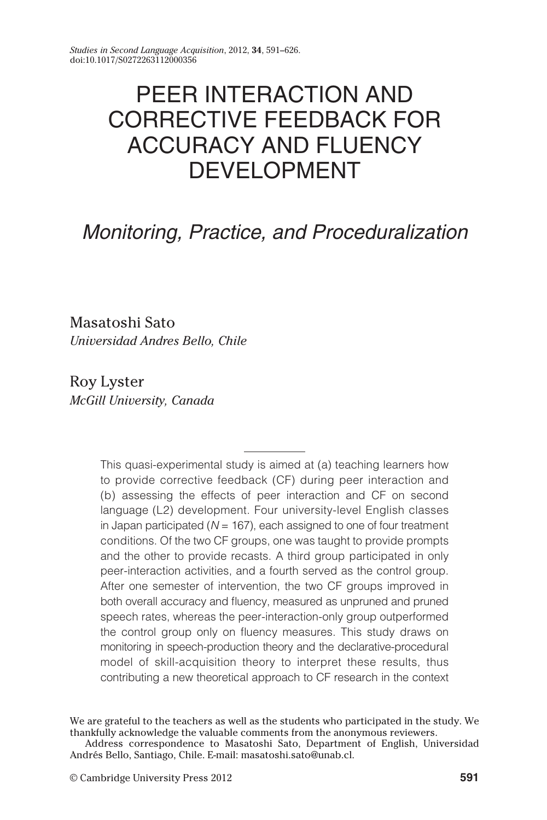# PEER INTERACTION AND CORRECTIVE FEEDBACK FOR ACCURACY AND FLUENCY DEVELOPMENT

# *Monitoring, Practice, and Proceduralization*

*Universidad Andres Bello , Chile*  Masatoshi Sato

Roy Lyster *McGill University , Canada* 

> This quasi-experimental study is aimed at (a) teaching learners how to provide corrective feedback (CF) during peer interaction and (b) assessing the effects of peer interaction and CF on second language (L2) development. Four university-level English classes in Japan participated  $(N = 167)$ , each assigned to one of four treatment conditions. Of the two CF groups, one was taught to provide prompts and the other to provide recasts. A third group participated in only peer-interaction activities, and a fourth served as the control group. After one semester of intervention, the two CF groups improved in both overall accuracy and fluency, measured as unpruned and pruned speech rates, whereas the peer-interaction-only group outperformed the control group only on fluency measures. This study draws on monitoring in speech-production theory and the declarative-procedural model of skill-acquisition theory to interpret these results, thus contributing a new theoretical approach to CF research in the context

We are grateful to the teachers as well as the students who participated in the study. We thankfully acknowledge the valuable comments from the anonymous reviewers.

Address correspondence to Masatoshi Sato, Department of English, Universidad Andrés Bello, Santiago, Chile. E-mail: masatoshi.sato@unab.cl .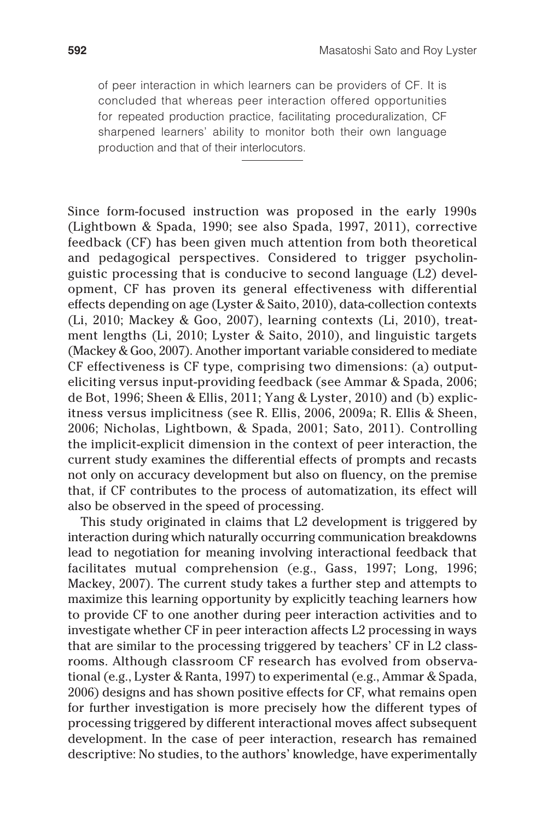of peer interaction in which learners can be providers of CF. It is concluded that whereas peer interaction offered opportunities for repeated production practice, facilitating proceduralization, CF sharpened learners' ability to monitor both their own language production and that of their interlocutors.

Since form-focused instruction was proposed in the early 1990s (Lightbown & Spada, 1990; see also Spada, 1997, 2011), corrective feedback (CF) has been given much attention from both theoretical and pedagogical perspectives. Considered to trigger psycholinguistic processing that is conducive to second language (L2) development, CF has proven its general effectiveness with differential effects depending on age (Lyster & Saito, 2010 ), data-collection contexts (Li, 2010; Mackey & Goo, 2007), learning contexts (Li, 2010), treatment lengths (Li, 2010; Lyster & Saito, 2010), and linguistic targets (Mackey & Goo, 2007 ). Another important variable considered to mediate CF effectiveness is CF type, comprising two dimensions: (a) outputeliciting versus input-providing feedback (see Ammar & Spada, 2006; de Bot, 1996; Sheen & Ellis, 2011; Yang & Lyster, 2010) and (b) explicitness versus implicitness (see R. Ellis, 2006, 2009a; R. Ellis & Sheen, 2006; Nicholas, Lightbown, & Spada, 2001; Sato, 2011). Controlling the implicit-explicit dimension in the context of peer interaction, the current study examines the differential effects of prompts and recasts not only on accuracy development but also on fluency, on the premise that, if CF contributes to the process of automatization, its effect will also be observed in the speed of processing.

This study originated in claims that L2 development is triggered by interaction during which naturally occurring communication breakdowns lead to negotiation for meaning involving interactional feedback that facilitates mutual comprehension (e.g., Gass, 1997; Long, 1996; Mackey, 2007). The current study takes a further step and attempts to maximize this learning opportunity by explicitly teaching learners how to provide CF to one another during peer interaction activities and to investigate whether CF in peer interaction affects L2 processing in ways that are similar to the processing triggered by teachers' CF in L2 classrooms. Although classroom CF research has evolved from observational (e.g., Lyster & Ranta, 1997 ) to experimental (e.g., Ammar & Spada, 2006 ) designs and has shown positive effects for CF, what remains open for further investigation is more precisely how the different types of processing triggered by different interactional moves affect subsequent development. In the case of peer interaction, research has remained descriptive: No studies, to the authors' knowledge, have experimentally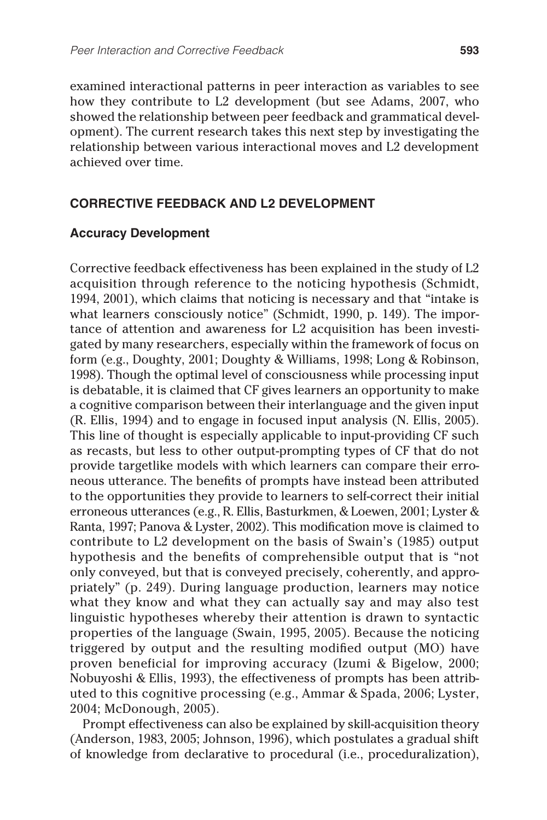examined interactional patterns in peer interaction as variables to see how they contribute to L2 development (but see Adams, 2007, who showed the relationship between peer feedback and grammatical development). The current research takes this next step by investigating the relationship between various interactional moves and L2 development achieved over time.

## **CORRECTIVE FEEDBACK AND L2 DEVELOPMENT**

#### **Accuracy Development**

Corrective feedback effectiveness has been explained in the study of L2 acquisition through reference to the noticing hypothesis (Schmidt, 1994, 2001), which claims that noticing is necessary and that "intake is what learners consciously notice" (Schmidt, 1990, p. 149). The importance of attention and awareness for L2 acquisition has been investigated by many researchers, especially within the framework of focus on form (e.g., Doughty, 2001; Doughty & Williams, 1998; Long & Robinson, 1998). Though the optimal level of consciousness while processing input is debatable, it is claimed that CF gives learners an opportunity to make a cognitive comparison between their interlanguage and the given input (R. Ellis, 1994) and to engage in focused input analysis (N. Ellis, 2005). This line of thought is especially applicable to input-providing CF such as recasts, but less to other output-prompting types of CF that do not provide targetlike models with which learners can compare their erroneous utterance. The benefits of prompts have instead been attributed to the opportunities they provide to learners to self-correct their initial erroneous utterances (e.g., R. Ellis, Basturkmen, & Loewen, 2001; Lyster & Ranta, 1997; Panova & Lyster, 2002). This modification move is claimed to contribute to L2 development on the basis of Swain's ( 1985 ) output hypothesis and the benefits of comprehensible output that is "not only conveyed, but that is conveyed precisely, coherently, and appropriately" (p. 249). During language production, learners may notice what they know and what they can actually say and may also test linguistic hypotheses whereby their attention is drawn to syntactic properties of the language (Swain, 1995, 2005). Because the noticing triggered by output and the resulting modified output (MO) have proven beneficial for improving accuracy (Izumi & Bigelow, 2000; Nobuyoshi & Ellis, 1993 ), the effectiveness of prompts has been attributed to this cognitive processing (e.g., Ammar & Spada, 2006; Lyster, 2004; McDonough, 2005).

Prompt effectiveness can also be explained by skill-acquisition theory (Anderson, 1983, 2005; Johnson, 1996), which postulates a gradual shift of knowledge from declarative to procedural (i.e., proceduralization),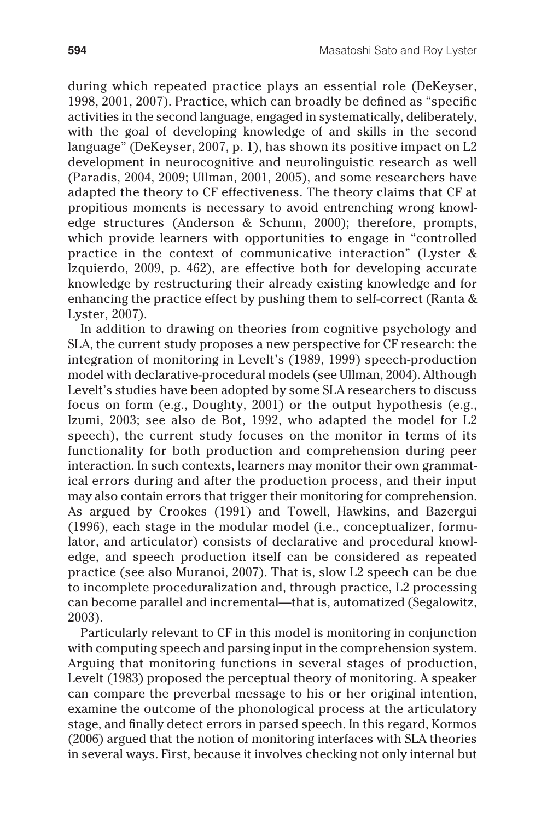during which repeated practice plays an essential role (DeKeyser, 1998, 2001, 2007). Practice, which can broadly be defined as "specific activities in the second language, engaged in systematically, deliberately, with the goal of developing knowledge of and skills in the second language" (DeKeyser, 2007, p. 1), has shown its positive impact on  $L2$ development in neurocognitive and neurolinguistic research as well (Paradis,  $2004$ ,  $2009$ ; Ullman,  $2001$ ,  $2005$ ), and some researchers have adapted the theory to CF effectiveness. The theory claims that CF at propitious moments is necessary to avoid entrenching wrong knowledge structures (Anderson & Schunn, 2000); therefore, prompts, which provide learners with opportunities to engage in "controlled practice in the context of communicative interaction" (Lyster & Izquierdo, 2009, p. 462), are effective both for developing accurate knowledge by restructuring their already existing knowledge and for enhancing the practice effect by pushing them to self-correct (Ranta & Lyster, 2007).

In addition to drawing on theories from cognitive psychology and SLA, the current study proposes a new perspective for CF research: the integration of monitoring in Levelt's (1989, 1999) speech-production model with declarative-procedural models (see Ullman, 2004). Although Levelt's studies have been adopted by some SLA researchers to discuss focus on form (e.g., Doughty,  $2001$ ) or the output hypothesis (e.g., Izumi, 2003; see also de Bot, 1992, who adapted the model for L2 speech), the current study focuses on the monitor in terms of its functionality for both production and comprehension during peer interaction. In such contexts, learners may monitor their own grammatical errors during and after the production process, and their input may also contain errors that trigger their monitoring for comprehension. As argued by Crookes (1991) and Towell, Hawkins, and Bazergui (1996), each stage in the modular model (i.e., conceptualizer, formulator, and articulator) consists of declarative and procedural knowledge, and speech production itself can be considered as repeated practice (see also Muranoi, 2007). That is, slow L2 speech can be due to incomplete proceduralization and, through practice, L2 processing can become parallel and incremental—that is, automatized (Segalowitz, 2003).

Particularly relevant to CF in this model is monitoring in conjunction with computing speech and parsing input in the comprehension system. Arguing that monitoring functions in several stages of production, Levelt (1983) proposed the perceptual theory of monitoring. A speaker can compare the preverbal message to his or her original intention, examine the outcome of the phonological process at the articulatory stage, and finally detect errors in parsed speech. In this regard, Kormos (2006) argued that the notion of monitoring interfaces with SLA theories in several ways. First, because it involves checking not only internal but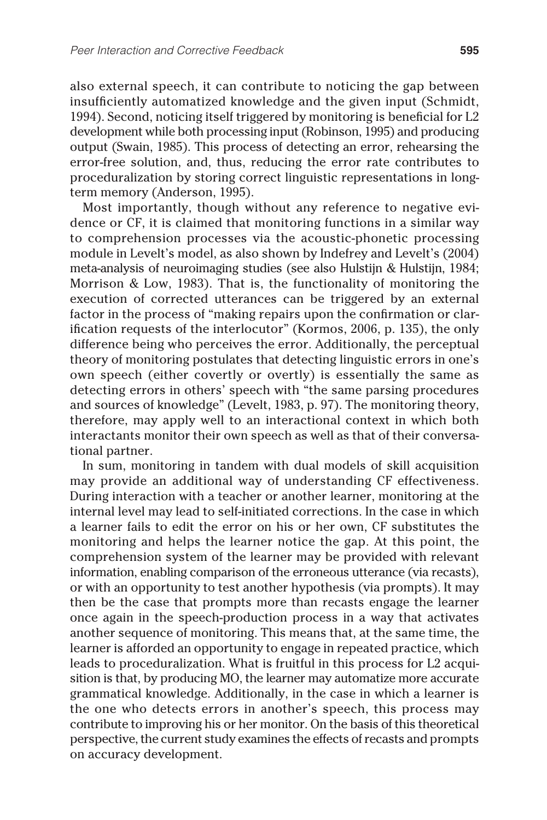also external speech, it can contribute to noticing the gap between insufficiently automatized knowledge and the given input (Schmidt, 1994). Second, noticing itself triggered by monitoring is beneficial for  $L2$ development while both processing input (Robinson, 1995) and producing output (Swain, 1985). This process of detecting an error, rehearsing the error-free solution, and, thus, reducing the error rate contributes to proceduralization by storing correct linguistic representations in longterm memory (Anderson, 1995).

Most importantly, though without any reference to negative evidence or CF, it is claimed that monitoring functions in a similar way to comprehension processes via the acoustic-phonetic processing module in Levelt's model, as also shown by Indefrey and Levelt's (2004) meta-analysis of neuroimaging studies (see also Hulstijn & Hulstijn, 1984 ; Morrison & Low, 1983). That is, the functionality of monitoring the execution of corrected utterances can be triggered by an external factor in the process of "making repairs upon the confirmation or clarification requests of the interlocutor" (Kormos, 2006, p. 135), the only difference being who perceives the error. Additionally, the perceptual theory of monitoring postulates that detecting linguistic errors in one's own speech (either covertly or overtly) is essentially the same as detecting errors in others' speech with "the same parsing procedures and sources of knowledge" (Levelt, 1983 , p. 97). The monitoring theory, therefore, may apply well to an interactional context in which both interactants monitor their own speech as well as that of their conversational partner.

In sum, monitoring in tandem with dual models of skill acquisition may provide an additional way of understanding CF effectiveness. During interaction with a teacher or another learner, monitoring at the internal level may lead to self-initiated corrections. In the case in which a learner fails to edit the error on his or her own, CF substitutes the monitoring and helps the learner notice the gap. At this point, the comprehension system of the learner may be provided with relevant information, enabling comparison of the erroneous utterance (via recasts), or with an opportunity to test another hypothesis (via prompts). It may then be the case that prompts more than recasts engage the learner once again in the speech-production process in a way that activates another sequence of monitoring. This means that, at the same time, the learner is afforded an opportunity to engage in repeated practice, which leads to proceduralization. What is fruitful in this process for L2 acquisition is that, by producing MO, the learner may automatize more accurate grammatical knowledge. Additionally, in the case in which a learner is the one who detects errors in another's speech, this process may contribute to improving his or her monitor. On the basis of this theoretical perspective, the current study examines the effects of recasts and prompts on accuracy development.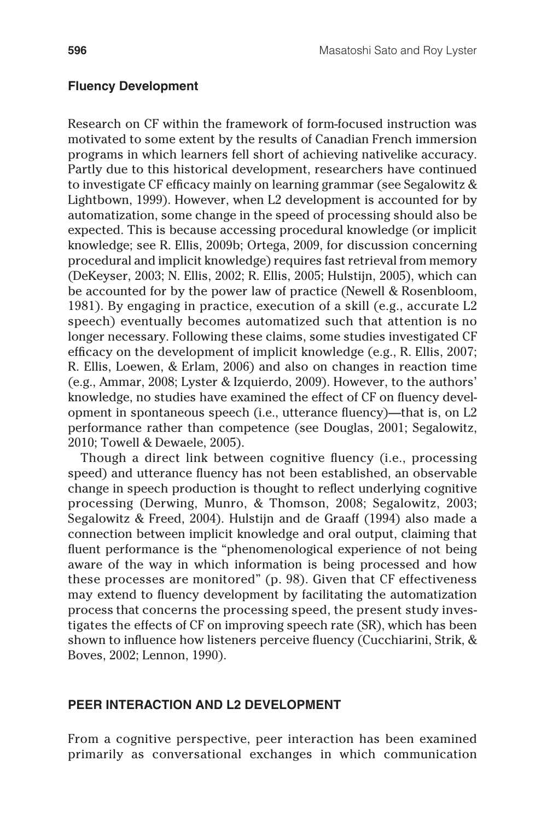#### **Fluency Development**

Research on CF within the framework of form-focused instruction was motivated to some extent by the results of Canadian French immersion programs in which learners fell short of achieving nativelike accuracy. Partly due to this historical development, researchers have continued to investigate CF efficacy mainly on learning grammar (see Segalowitz & Lightbown, 1999). However, when L2 development is accounted for by automatization, some change in the speed of processing should also be expected. This is because accessing procedural knowledge (or implicit knowledge; see R. Ellis, 2009b; Ortega, 2009, for discussion concerning procedural and implicit knowledge) requires fast retrieval from memory (DeKeyser, 2003; N. Ellis, 2002; R. Ellis, 2005; Hulstijn, 2005), which can be accounted for by the power law of practice (Newell & Rosenbloom, 1981). By engaging in practice, execution of a skill (e.g., accurate  $L2$ speech) eventually becomes automatized such that attention is no longer necessary. Following these claims, some studies investigated CF efficacy on the development of implicit knowledge (e.g., R. Ellis,  $2007$ ; R. Ellis, Loewen, & Erlam, 2006 ) and also on changes in reaction time (e.g., Ammar, 2008; Lyster & Izquierdo, 2009). However, to the authors' knowledge, no studies have examined the effect of CF on fluency development in spontaneous speech (i.e., utterance fluency)—that is, on  $L2$ performance rather than competence (see Douglas, 2001; Segalowitz, 2010; Towell & Dewaele, 2005).

Though a direct link between cognitive fluency (i.e., processing speed) and utterance fluency has not been established, an observable change in speech production is thought to reflect underlying cognitive processing (Derwing, Munro, & Thomson, 2008; Segalowitz, 2003; Segalowitz & Freed, 2004). Hulstijn and de Graaff (1994) also made a connection between implicit knowledge and oral output, claiming that fluent performance is the "phenomenological experience of not being aware of the way in which information is being processed and how these processes are monitored" (p. 98). Given that CF effectiveness may extend to fluency development by facilitating the automatization process that concerns the processing speed, the present study investigates the effects of CF on improving speech rate (SR), which has been shown to influence how listeners perceive fluency (Cucchiarini, Strik, & Boves, 2002; Lennon, 1990).

#### **PEER INTERACTION AND L2 DEVELOPMENT**

From a cognitive perspective, peer interaction has been examined primarily as conversational exchanges in which communication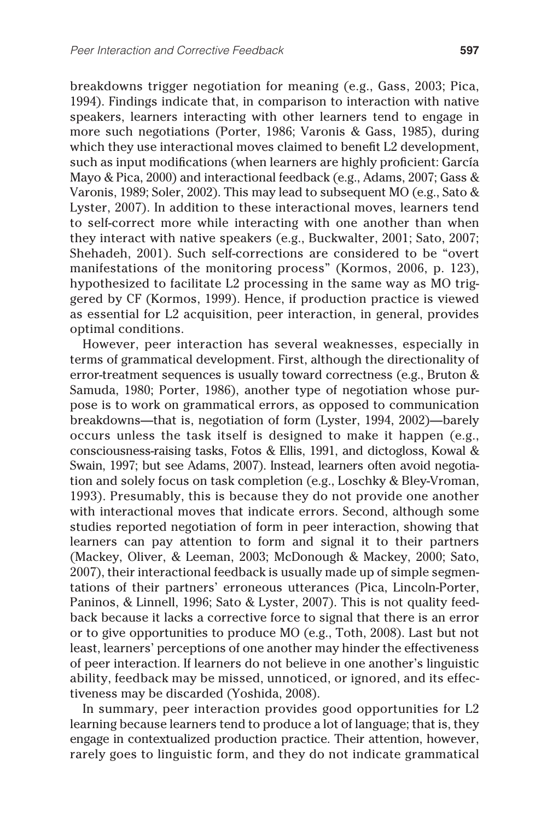breakdowns trigger negotiation for meaning (e.g., Gass, 2003; Pica, 1994). Findings indicate that, in comparison to interaction with native speakers, learners interacting with other learners tend to engage in more such negotiations (Porter, 1986; Varonis & Gass, 1985), during which they use interactional moves claimed to benefit L2 development. such as input modifications (when learners are highly proficient: García Mayo & Pica, 2000) and interactional feedback (e.g., Adams, 2007; Gass & Varonis, 1989; Soler, 2002). This may lead to subsequent MO (e.g., Sato  $\&$ Lyster, 2007). In addition to these interactional moves, learners tend to self-correct more while interacting with one another than when they interact with native speakers (e.g., Buckwalter, 2001; Sato, 2007; Shehadeh, 2001). Such self-corrections are considered to be "overt manifestations of the monitoring process" (Kormos, 2006, p. 123), hypothesized to facilitate L2 processing in the same way as MO triggered by CF (Kormos, 1999). Hence, if production practice is viewed as essential for L2 acquisition, peer interaction, in general, provides optimal conditions.

However, peer interaction has several weaknesses, especially in terms of grammatical development. First, although the directionality of error-treatment sequences is usually toward correctness (e.g., Bruton & Samuda, 1980; Porter, 1986), another type of negotiation whose purpose is to work on grammatical errors, as opposed to communication breakdowns—that is, negotiation of form (Lyster, 1994, 2002)—barely occurs unless the task itself is designed to make it happen (e.g., consciousness-raising tasks, Fotos & Ellis, 1991 , and dictogloss, Kowal & Swain, 1997; but see Adams, 2007). Instead, learners often avoid negotiation and solely focus on task completion (e.g., Loschky & Bley-Vroman, 1993). Presumably, this is because they do not provide one another with interactional moves that indicate errors. Second, although some studies reported negotiation of form in peer interaction, showing that learners can pay attention to form and signal it to their partners (Mackey, Oliver, & Leeman, 2003; McDonough & Mackey, 2000; Sato, 2007), their interactional feedback is usually made up of simple segmentations of their partners' erroneous utterances (Pica, Lincoln-Porter, Paninos, & Linnell, 1996; Sato & Lyster, 2007). This is not quality feedback because it lacks a corrective force to signal that there is an error or to give opportunities to produce MO (e.g., Toth, 2008 ). Last but not least, learners' perceptions of one another may hinder the effectiveness of peer interaction. If learners do not believe in one another's linguistic ability, feedback may be missed, unnoticed, or ignored, and its effectiveness may be discarded (Yoshida, 2008).

In summary, peer interaction provides good opportunities for L2 learning because learners tend to produce a lot of language; that is, they engage in contextualized production practice. Their attention, however, rarely goes to linguistic form, and they do not indicate grammatical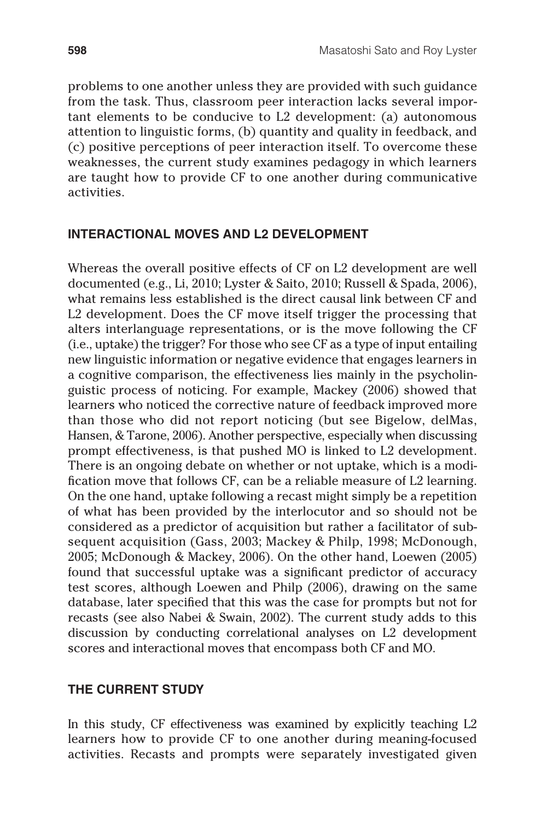problems to one another unless they are provided with such guidance from the task. Thus, classroom peer interaction lacks several important elements to be conducive to L2 development: (a) autonomous attention to linguistic forms, (b) quantity and quality in feedback, and (c) positive perceptions of peer interaction itself. To overcome these weaknesses, the current study examines pedagogy in which learners are taught how to provide CF to one another during communicative activities.

#### **INTERACTIONAL MOVES AND L2 DEVELOPMENT**

Whereas the overall positive effects of CF on L2 development are well documented (e.g., Li, 2010; Lyster & Saito, 2010; Russell & Spada, 2006), what remains less established is the direct causal link between CF and L2 development. Does the CF move itself trigger the processing that alters interlanguage representations, or is the move following the CF (i.e., uptake) the trigger? For those who see CF as a type of input entailing new linguistic information or negative evidence that engages learners in a cognitive comparison, the effectiveness lies mainly in the psycholinguistic process of noticing. For example, Mackey (2006) showed that learners who noticed the corrective nature of feedback improved more than those who did not report noticing (but see Bigelow, delMas, Hansen, & Tarone, 2006). Another perspective, especially when discussing prompt effectiveness, is that pushed MO is linked to L2 development. There is an ongoing debate on whether or not uptake, which is a modification move that follows CF, can be a reliable measure of L2 learning. On the one hand, uptake following a recast might simply be a repetition of what has been provided by the interlocutor and so should not be considered as a predictor of acquisition but rather a facilitator of subsequent acquisition (Gass, 2003; Mackey & Philp, 1998; McDonough, 2005; McDonough & Mackey, 2006). On the other hand, Loewen (2005) found that successful uptake was a significant predictor of accuracy test scores, although Loewen and Philp (2006), drawing on the same database, later specified that this was the case for prompts but not for recasts (see also Nabei & Swain, 2002). The current study adds to this discussion by conducting correlational analyses on L2 development scores and interactional moves that encompass both CF and MO.

#### **THE CURRENT STUDY**

In this study, CF effectiveness was examined by explicitly teaching L2 learners how to provide CF to one another during meaning-focused activities. Recasts and prompts were separately investigated given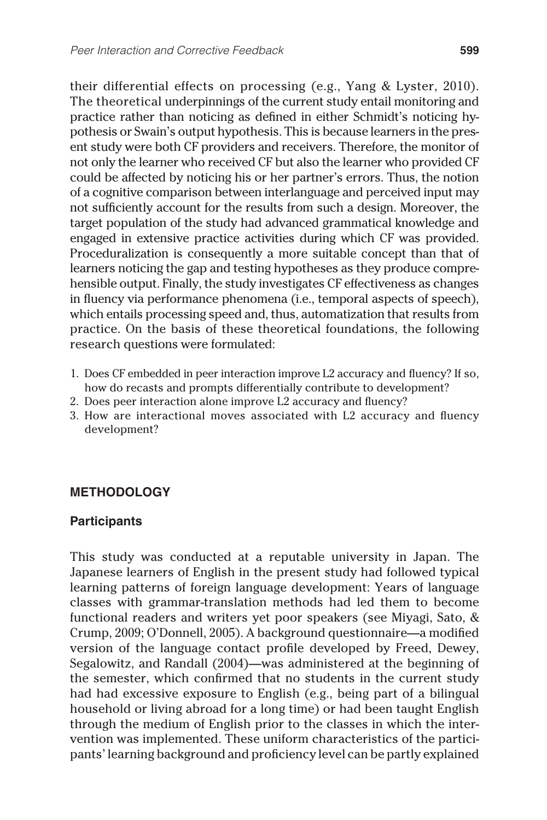their differential effects on processing (e.g., Yang & Lyster, 2010). The theoretical underpinnings of the current study entail monitoring and practice rather than noticing as defined in either Schmidt's noticing hypothesis or Swain's output hypothesis. This is because learners in the present study were both CF providers and receivers. Therefore, the monitor of not only the learner who received CF but also the learner who provided CF could be affected by noticing his or her partner's errors. Thus, the notion of a cognitive comparison between interlanguage and perceived input may not sufficiently account for the results from such a design. Moreover, the target population of the study had advanced grammatical knowledge and engaged in extensive practice activities during which CF was provided. Proceduralization is consequently a more suitable concept than that of learners noticing the gap and testing hypotheses as they produce comprehensible output. Finally, the study investigates CF effectiveness as changes in fluency via performance phenomena (i.e., temporal aspects of speech), which entails processing speed and, thus, automatization that results from practice. On the basis of these theoretical foundations, the following research questions were formulated:

- 1. Does CF embedded in peer interaction improve L2 accuracy and fluency? If so, how do recasts and prompts differentially contribute to development?
- 2. Does peer interaction alone improve L2 accuracy and fluency?
- 3. How are interactional moves associated with L2 accuracy and fluency development?

### **METHODOLOGY**

#### **Participants**

This study was conducted at a reputable university in Japan. The Japanese learners of English in the present study had followed typical learning patterns of foreign language development: Years of language classes with grammar-translation methods had led them to become functional readers and writers yet poor speakers (see Miyagi, Sato, & Crump, 2009; O'Donnell, 2005). A background questionnaire—a modified version of the language contact profile developed by Freed, Dewey, Segalowitz, and Randall (2004)—was administered at the beginning of the semester, which confirmed that no students in the current study had had excessive exposure to English (e.g., being part of a bilingual household or living abroad for a long time) or had been taught English through the medium of English prior to the classes in which the intervention was implemented. These uniform characteristics of the participants' learning background and proficiency level can be partly explained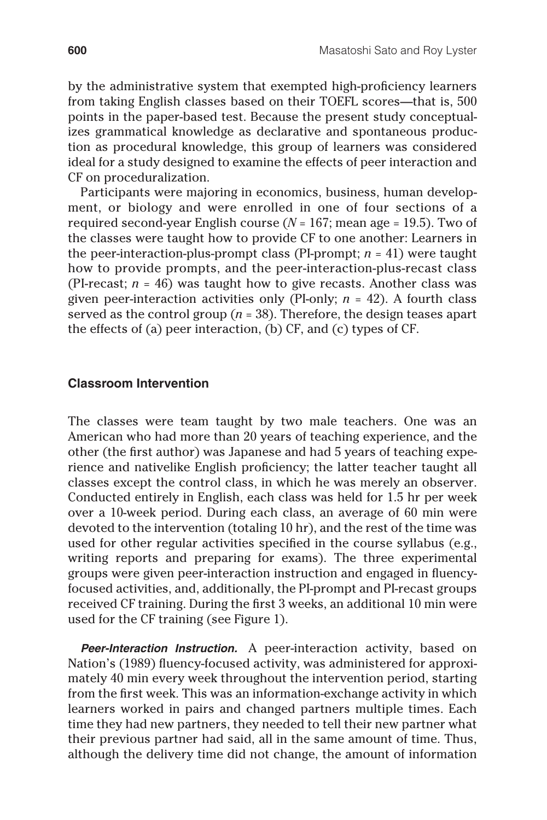by the administrative system that exempted high-proficiency learners from taking English classes based on their TOEFL scores—that is, 500 points in the paper-based test. Because the present study conceptualizes grammatical knowledge as declarative and spontaneous production as procedural knowledge, this group of learners was considered ideal for a study designed to examine the effects of peer interaction and CF on proceduralization.

Participants were majoring in economics, business, human development, or biology and were enrolled in one of four sections of a required second-year English course  $(N = 167)$ ; mean age = 19.5). Two of the classes were taught how to provide CF to one another: Learners in the peer-interaction-plus-prompt class (PI-prompt;  $n = 41$ ) were taught how to provide prompts, and the peer-interaction-plus-recast class (PI-recast;  $n = 46$ ) was taught how to give recasts. Another class was given peer-interaction activities only (PI-only;  $n = 42$ ). A fourth class served as the control group ( $n = 38$ ). Therefore, the design teases apart the effects of (a) peer interaction, (b) CF, and (c) types of CF.

#### **Classroom Intervention**

The classes were team taught by two male teachers. One was an American who had more than 20 years of teaching experience, and the other (the first author) was Japanese and had 5 years of teaching experience and nativelike English proficiency; the latter teacher taught all classes except the control class, in which he was merely an observer. Conducted entirely in English, each class was held for 1.5 hr per week over a 10-week period. During each class, an average of 60 min were devoted to the intervention (totaling 10 hr), and the rest of the time was used for other regular activities specified in the course syllabus (e.g., writing reports and preparing for exams). The three experimental groups were given peer-interaction instruction and engaged in fluencyfocused activities, and, additionally, the PI-prompt and PI-recast groups received CF training. During the first 3 weeks, an additional 10 min were used for the CF training (see Figure 1).

**Peer-Interaction Instruction.** A peer-interaction activity, based on Nation's (1989) fluency-focused activity, was administered for approximately 40 min every week throughout the intervention period, starting from the first week. This was an information-exchange activity in which learners worked in pairs and changed partners multiple times. Each time they had new partners, they needed to tell their new partner what their previous partner had said, all in the same amount of time. Thus, although the delivery time did not change, the amount of information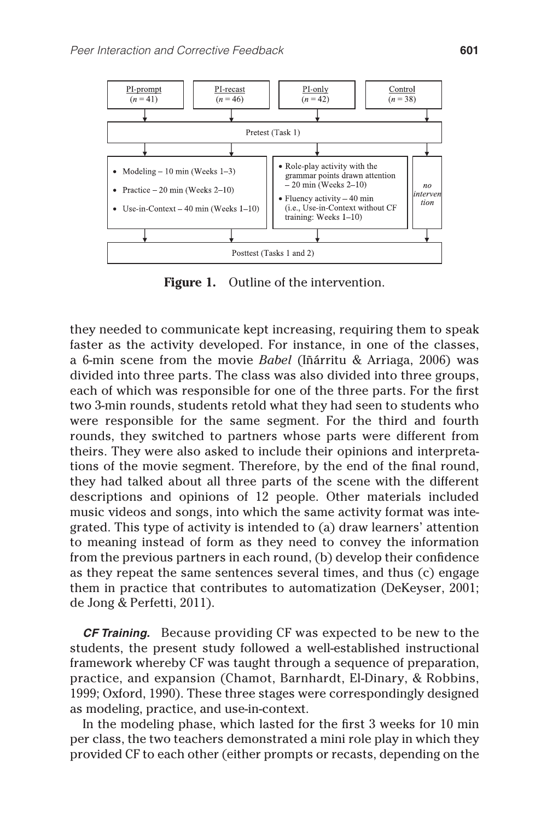

**Figure 1.** Outline of the intervention.

they needed to communicate kept increasing, requiring them to speak faster as the activity developed. For instance, in one of the classes, a 6-min scene from the movie *Babel* (Iñárritu & Arriaga, 2006) was divided into three parts. The class was also divided into three groups, each of which was responsible for one of the three parts. For the first two 3-min rounds, students retold what they had seen to students who were responsible for the same segment. For the third and fourth rounds, they switched to partners whose parts were different from theirs. They were also asked to include their opinions and interpretations of the movie segment. Therefore, by the end of the final round, they had talked about all three parts of the scene with the different descriptions and opinions of 12 people. Other materials included music videos and songs, into which the same activity format was integrated. This type of activity is intended to (a) draw learners' attention to meaning instead of form as they need to convey the information from the previous partners in each round, (b) develop their confidence as they repeat the same sentences several times, and thus (c) engage them in practice that contributes to automatization (DeKeyser, 2001; de Jong & Perfetti, 2011).

*CF Training .* Because providing CF was expected to be new to the students, the present study followed a well-established instructional framework whereby CF was taught through a sequence of preparation, practice, and expansion (Chamot, Barnhardt, El-Dinary, & Robbins, 1999; Oxford, 1990). These three stages were correspondingly designed as modeling, practice, and use-in-context.

In the modeling phase, which lasted for the first 3 weeks for 10 min per class, the two teachers demonstrated a mini role play in which they provided CF to each other (either prompts or recasts, depending on the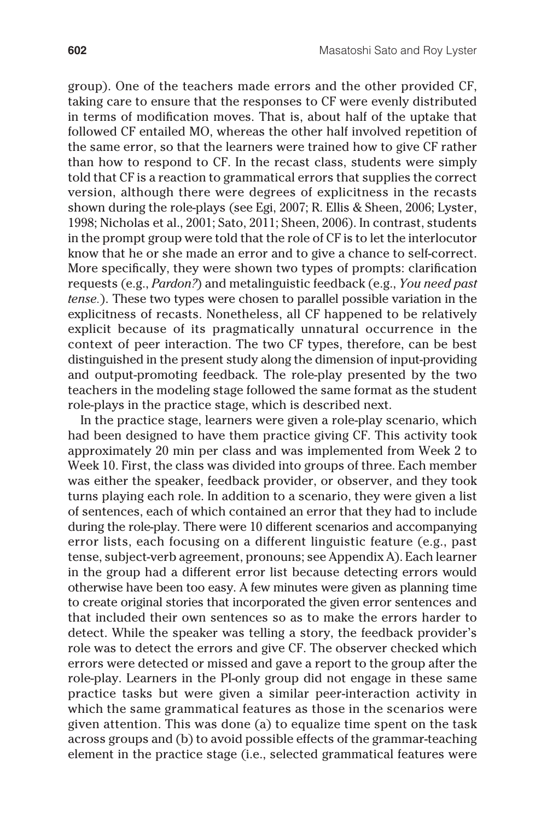group). One of the teachers made errors and the other provided CF, taking care to ensure that the responses to CF were evenly distributed in terms of modification moves. That is, about half of the uptake that followed CF entailed MO, whereas the other half involved repetition of the same error, so that the learners were trained how to give CF rather than how to respond to CF. In the recast class, students were simply told that CF is a reaction to grammatical errors that supplies the correct version, although there were degrees of explicitness in the recasts shown during the role-plays (see Egi, 2007; R. Ellis & Sheen, 2006; Lyster, 1998; Nicholas et al., 2001; Sato, 2011; Sheen, 2006). In contrast, students in the prompt group were told that the role of CF is to let the interlocutor know that he or she made an error and to give a chance to self-correct. More specifically, they were shown two types of prompts: clarification requests (e.g., *Pardon?*) and metalinguistic feedback (e.g., *You need past tense.*). These two types were chosen to parallel possible variation in the explicitness of recasts. Nonetheless, all CF happened to be relatively explicit because of its pragmatically unnatural occurrence in the context of peer interaction. The two CF types, therefore, can be best distinguished in the present study along the dimension of input-providing and output-promoting feedback. The role-play presented by the two teachers in the modeling stage followed the same format as the student role-plays in the practice stage, which is described next.

In the practice stage, learners were given a role-play scenario, which had been designed to have them practice giving CF. This activity took approximately 20 min per class and was implemented from Week 2 to Week 10. First, the class was divided into groups of three. Each member was either the speaker, feedback provider, or observer, and they took turns playing each role. In addition to a scenario, they were given a list of sentences, each of which contained an error that they had to include during the role-play. There were 10 different scenarios and accompanying error lists, each focusing on a different linguistic feature (e.g., past tense, subject-verb agreement, pronouns; see Appendix A). Each learner in the group had a different error list because detecting errors would otherwise have been too easy. A few minutes were given as planning time to create original stories that incorporated the given error sentences and that included their own sentences so as to make the errors harder to detect. While the speaker was telling a story, the feedback provider's role was to detect the errors and give CF. The observer checked which errors were detected or missed and gave a report to the group after the role-play. Learners in the PI-only group did not engage in these same practice tasks but were given a similar peer-interaction activity in which the same grammatical features as those in the scenarios were given attention. This was done (a) to equalize time spent on the task across groups and (b) to avoid possible effects of the grammar-teaching element in the practice stage (i.e., selected grammatical features were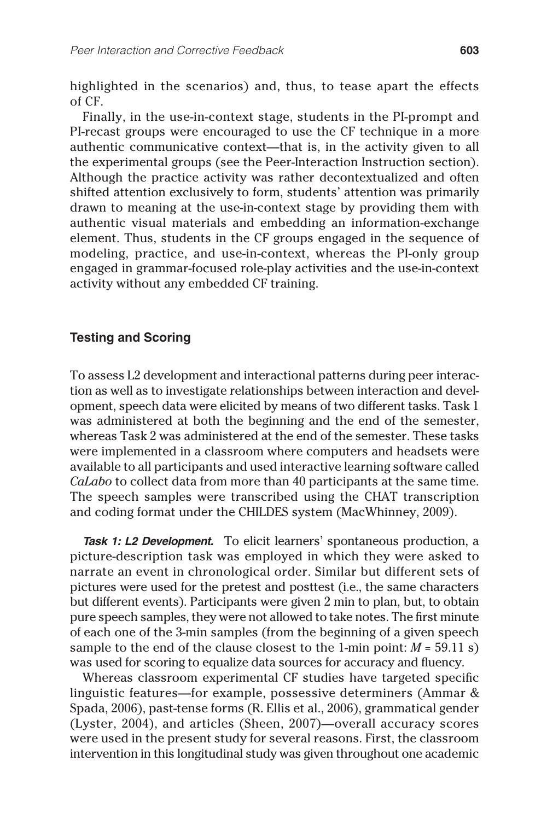highlighted in the scenarios) and, thus, to tease apart the effects of CF.

Finally, in the use-in-context stage, students in the PI-prompt and PI-recast groups were encouraged to use the CF technique in a more authentic communicative context—that is, in the activity given to all the experimental groups (see the Peer-Interaction Instruction section). Although the practice activity was rather decontextualized and often shifted attention exclusively to form, students' attention was primarily drawn to meaning at the use-in-context stage by providing them with authentic visual materials and embedding an information-exchange element. Thus, students in the CF groups engaged in the sequence of modeling, practice, and use-in-context, whereas the PI-only group engaged in grammar-focused role-play activities and the use-in-context activity without any embedded CF training.

#### **Testing and Scoring**

To assess L2 development and interactional patterns during peer interaction as well as to investigate relationships between interaction and development, speech data were elicited by means of two different tasks. Task 1 was administered at both the beginning and the end of the semester, whereas Task 2 was administered at the end of the semester. These tasks were implemented in a classroom where computers and headsets were available to all participants and used interactive learning software called *CaLabo* to collect data from more than 40 participants at the same time. The speech samples were transcribed using the CHAT transcription and coding format under the CHILDES system (MacWhinney, 2009 ).

*Task 1: L2 Development.* To elicit learners' spontaneous production, a picture-description task was employed in which they were asked to narrate an event in chronological order. Similar but different sets of pictures were used for the pretest and posttest (i.e., the same characters but different events). Participants were given 2 min to plan, but, to obtain pure speech samples, they were not allowed to take notes. The first minute of each one of the 3-min samples (from the beginning of a given speech sample to the end of the clause closest to the 1-min point:  $M = 59.11$  s) was used for scoring to equalize data sources for accuracy and fluency.

Whereas classroom experimental CF studies have targeted specific linguistic features—for example, possessive determiners (Ammar & Spada, 2006), past-tense forms (R. Ellis et al., 2006), grammatical gender (Lyster, 2004), and articles (Sheen, 2007)—overall accuracy scores were used in the present study for several reasons. First, the classroom intervention in this longitudinal study was given throughout one academic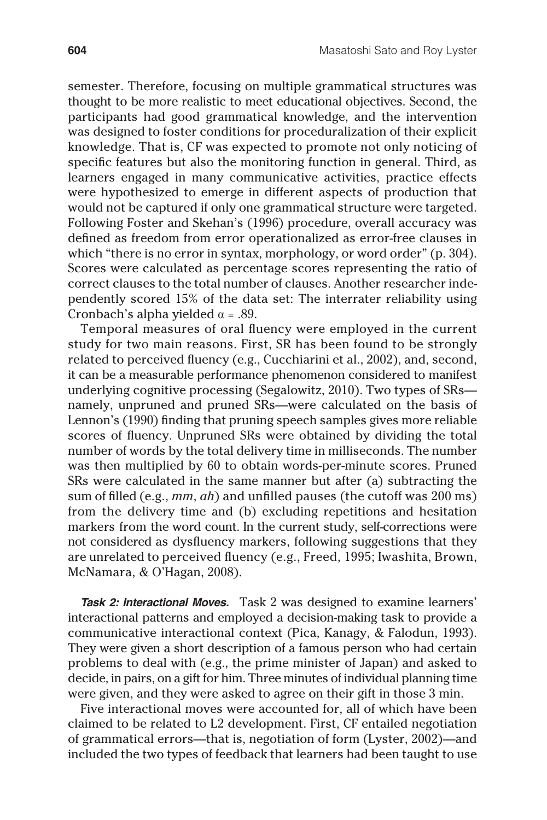semester. Therefore, focusing on multiple grammatical structures was thought to be more realistic to meet educational objectives. Second, the participants had good grammatical knowledge, and the intervention was designed to foster conditions for proceduralization of their explicit knowledge. That is, CF was expected to promote not only noticing of specific features but also the monitoring function in general. Third, as learners engaged in many communicative activities, practice effects were hypothesized to emerge in different aspects of production that would not be captured if only one grammatical structure were targeted. Following Foster and Skehan's (1996) procedure, overall accuracy was defined as freedom from error operationalized as error-free clauses in which "there is no error in syntax, morphology, or word order" (p. 304). Scores were calculated as percentage scores representing the ratio of correct clauses to the total number of clauses. Another researcher independently scored 15% of the data set: The interrater reliability using Cronbach's alpha yielded  $\alpha$  = .89.

Temporal measures of oral fluency were employed in the current study for two main reasons. First, SR has been found to be strongly related to perceived fluency (e.g., Cucchiarini et al., 2002), and, second, it can be a measurable performance phenomenon considered to manifest underlying cognitive processing (Segalowitz, 2010). Two types of SRs namely, unpruned and pruned SRs—were calculated on the basis of Lennon's (1990) finding that pruning speech samples gives more reliable scores of fluency. Unpruned SRs were obtained by dividing the total number of words by the total delivery time in milliseconds. The number was then multiplied by 60 to obtain words-per-minute scores. Pruned SRs were calculated in the same manner but after (a) subtracting the sum of filled (e.g., *mm*, *ah*) and unfilled pauses (the cutoff was 200 ms) from the delivery time and (b) excluding repetitions and hesitation markers from the word count. In the current study, self-corrections were not considered as dysfluency markers, following suggestions that they are unrelated to perceived fluency (e.g., Freed, 1995; Iwashita, Brown, McNamara, & O'Hagan, 2008).

**Task 2: Interactional Moves.** Task 2 was designed to examine learners' interactional patterns and employed a decision-making task to provide a communicative interactional context (Pica, Kanagy, & Falodun, 1993). They were given a short description of a famous person who had certain problems to deal with (e.g., the prime minister of Japan) and asked to decide, in pairs, on a gift for him. Three minutes of individual planning time were given, and they were asked to agree on their gift in those 3 min.

Five interactional moves were accounted for, all of which have been claimed to be related to L2 development. First, CF entailed negotiation of grammatical errors—that is, negotiation of form (Lyster, 2002 )—and included the two types of feedback that learners had been taught to use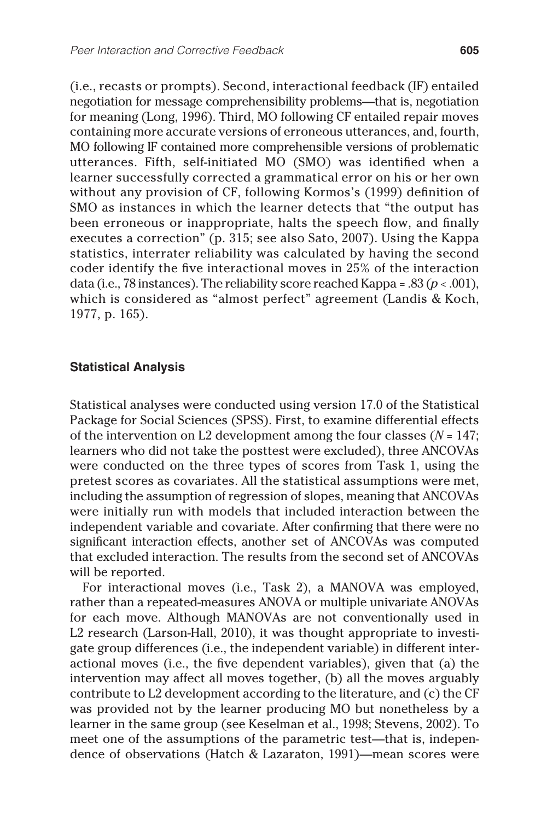(i.e., recasts or prompts). Second, interactional feedback (IF) entailed negotiation for message comprehensibility problems—that is, negotiation for meaning (Long, 1996). Third, MO following CF entailed repair moves containing more accurate versions of erroneous utterances, and, fourth, MO following IF contained more comprehensible versions of problematic utterances. Fifth, self-initiated MO (SMO) was identified when a learner successfully corrected a grammatical error on his or her own without any provision of CF, following Kormos's (1999) definition of SMO as instances in which the learner detects that "the output has been erroneous or inappropriate, halts the speech flow, and finally executes a correction" (p. 315; see also Sato, 2007 ). Using the Kappa statistics, interrater reliability was calculated by having the second coder identify the five interactional moves in 25% of the interaction data (i.e., 78 instances). The reliability score reached Kappa =  $.83$  ( $p < .001$ ), which is considered as "almost perfect" agreement (Landis & Koch, 1977 , p. 165).

#### **Statistical Analysis**

Statistical analyses were conducted using version 17.0 of the Statistical Package for Social Sciences (SPSS). First, to examine differential effects of the intervention on L2 development among the four classes  $(N = 147)$ ; learners who did not take the posttest were excluded), three ANCOVAs were conducted on the three types of scores from Task 1, using the pretest scores as covariates. All the statistical assumptions were met, including the assumption of regression of slopes, meaning that ANCOVAs were initially run with models that included interaction between the independent variable and covariate. After confirming that there were no significant interaction effects, another set of ANCOVAs was computed that excluded interaction. The results from the second set of ANCOVAs will be reported.

For interactional moves (i.e., Task 2), a MANOVA was employed, rather than a repeated-measures ANOVA or multiple univariate ANOVAs for each move. Although MANOVAs are not conventionally used in L2 research (Larson-Hall, 2010), it was thought appropriate to investigate group differences (i.e., the independent variable) in different interactional moves (i.e., the five dependent variables), given that (a) the intervention may affect all moves together, (b) all the moves arguably contribute to L2 development according to the literature, and (c) the CF was provided not by the learner producing MO but nonetheless by a learner in the same group (see Keselman et al., 1998; Stevens, 2002). To meet one of the assumptions of the parametric test—that is, independence of observations (Hatch & Lazaraton, 1991)—mean scores were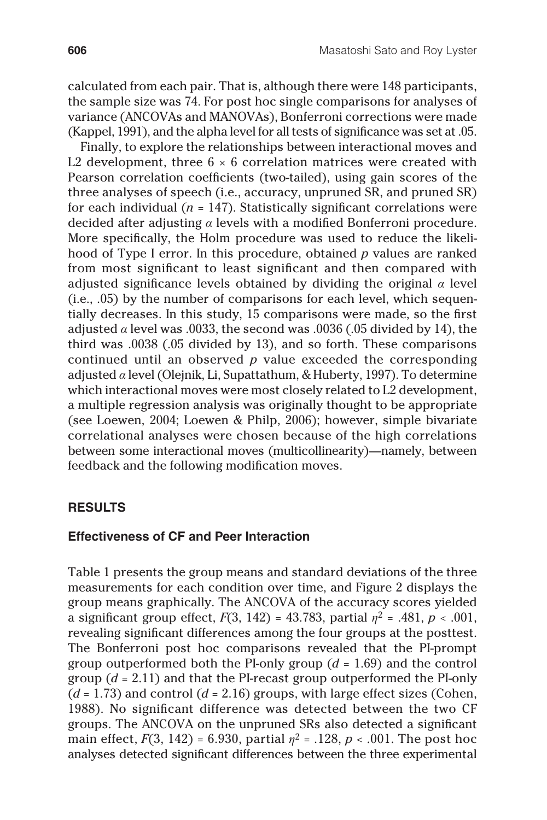calculated from each pair. That is, although there were 148 participants, the sample size was 74. For post hoc single comparisons for analyses of variance (ANCOVAs and MANOVAs), Bonferroni corrections were made (Kappel, 1991), and the alpha level for all tests of significance was set at .05.

Finally, to explore the relationships between interactional moves and L2 development, three  $6 \times 6$  correlation matrices were created with Pearson correlation coefficients (two-tailed), using gain scores of the three analyses of speech (i.e., accuracy, unpruned SR, and pruned SR) for each individual  $(n = 147)$ . Statistically significant correlations were decided after adjusting  $\alpha$  levels with a modified Bonferroni procedure. More specifically, the Holm procedure was used to reduce the likelihood of Type I error. In this procedure, obtained *p* values are ranked from most significant to least significant and then compared with adjusted significance levels obtained by dividing the original  $\alpha$  level (i.e., .05) by the number of comparisons for each level, which sequentially decreases. In this study, 15 comparisons were made, so the first adjusted  $\alpha$  level was .0033, the second was .0036 (.05 divided by 14), the third was .0038 (.05 divided by 13), and so forth. These comparisons continued until an observed *p* value exceeded the corresponding adjusted *α* level (Olejnik, Li, Supattathum, & Huberty, 1997 ). To determine which interactional moves were most closely related to L2 development, a multiple regression analysis was originally thought to be appropriate (see Loewen, 2004; Loewen & Philp, 2006); however, simple bivariate correlational analyses were chosen because of the high correlations between some interactional moves (multicollinearity)—namely, between feedback and the following modification moves.

#### **RESULTS**

#### **Effectiveness of CF and Peer Interaction**

Table 1 presents the group means and standard deviations of the three measurements for each condition over time, and Figure 2 displays the group means graphically. The ANCOVA of the accuracy scores yielded a significant group effect,  $F(3, 142) = 43.783$ , partial  $n^2 = .481$ ,  $p < .001$ , revealing significant differences among the four groups at the posttest. The Bonferroni post hoc comparisons revealed that the PI-prompt group outperformed both the PI-only group  $(d = 1.69)$  and the control group  $(d = 2.11)$  and that the PI-recast group outperformed the PI-only  $(d = 1.73)$  and control  $(d = 2.16)$  groups, with large effect sizes (Cohen, 1988). No significant difference was detected between the two CF groups. The ANCOVA on the unpruned SRs also detected a significant main effect,  $F(3, 142) = 6.930$ , partial  $n^2 = .128$ ,  $p < .001$ . The post hoc analyses detected significant differences between the three experimental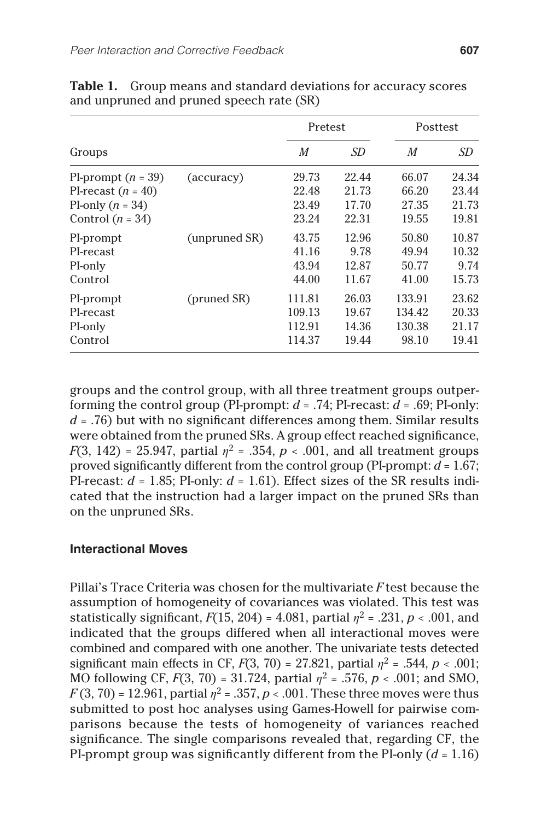|                      |               | Pretest |       | Posttest |           |
|----------------------|---------------|---------|-------|----------|-----------|
| Groups               |               | M       | SD    | M        | <i>SD</i> |
| PI-prompt $(n = 39)$ | (accuracy)    | 29.73   | 22.44 | 66.07    | 24.34     |
| PI-recast $(n = 40)$ |               | 22.48   | 21.73 | 66.20    | 23.44     |
| PI-only $(n = 34)$   |               | 23.49   | 17.70 | 27.35    | 21.73     |
| Control $(n = 34)$   |               | 23.24   | 22.31 | 19.55    | 19.81     |
| PI-prompt            | (unpruned SR) | 43.75   | 12.96 | 50.80    | 10.87     |
| PI-recast            |               | 41.16   | 9.78  | 49.94    | 10.32     |
| PI-only              |               | 43.94   | 12.87 | 50.77    | 9.74      |
| Control              |               | 44.00   | 11.67 | 41.00    | 15.73     |
| PI-prompt            | (pruned SR)   | 111.81  | 26.03 | 133.91   | 23.62     |
| PI-recast            |               | 109.13  | 19.67 | 134.42   | 20.33     |
| PI-only              |               | 112.91  | 14.36 | 130.38   | 21.17     |
| Control              |               | 114.37  | 19.44 | 98.10    | 19.41     |

**Table 1.** Group means and standard deviations for accuracy scores and unpruned and pruned speech rate (SR)

groups and the control group, with all three treatment groups outperforming the control group (PI-prompt:  $d = .74$ ; PI-recast:  $d = .69$ ; PI-only:  $d = 0.76$  but with no significant differences among them. Similar results were obtained from the pruned SRs. A group effect reached significance, *F*(3, 142) = 25.947, partial  $n^2$  = .354,  $p < .001$ , and all treatment groups proved significantly different from the control group (PI-prompt:  $d = 1.67$ ; PI-recast:  $d = 1.85$ ; PI-only:  $d = 1.61$ ). Effect sizes of the SR results indicated that the instruction had a larger impact on the pruned SRs than on the unpruned SRs.

#### **Interactional Moves**

Pillai's Trace Criteria was chosen for the multivariate *F* test because the assumption of homogeneity of covariances was violated. This test was statistically significant,  $F(15, 204) = 4.081$ , partial  $n^2 = .231$ ,  $p < .001$ , and indicated that the groups differed when all interactional moves were combined and compared with one another. The univariate tests detected significant main effects in CF,  $F(3, 70) = 27.821$ , partial  $n^2 = .544$ ,  $p < .001$ ; MO following CF, *F*(3, 70) = 31.724, partial *η*2 = .576, *p* < .001; and SMO, *F* (3, 70) = 12.961, partial  $\eta^2$  = .357, *p* < .001. These three moves were thus submitted to post hoc analyses using Games-Howell for pairwise comparisons because the tests of homogeneity of variances reached significance. The single comparisons revealed that, regarding CF, the PI-prompt group was significantly different from the PI-only  $(d = 1.16)$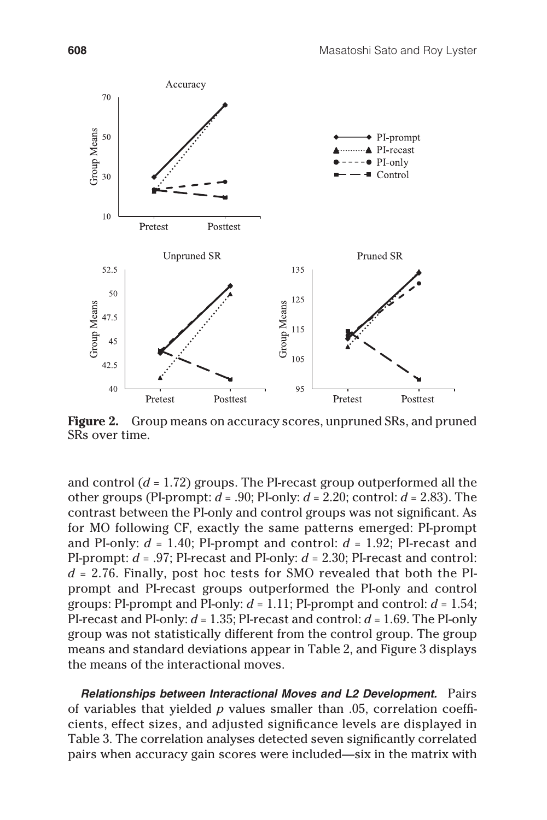

**Figure 2.** Group means on accuracy scores, unpruned SRs, and pruned SRs over time.

and control  $(d = 1.72)$  groups. The PI-recast group outperformed all the other groups (PI-prompt: *d* = .90; PI-only: *d* = 2.20; control: *d* = 2.83). The contrast between the PI-only and control groups was not significant. As for MO following CF, exactly the same patterns emerged: PI-prompt and PI-only:  $d = 1.40$ ; PI-prompt and control:  $d = 1.92$ ; PI-recast and PI-prompt: *d* = .97; PI-recast and PI-only: *d* = 2.30; PI-recast and control: *d* = 2.76. Finally, post hoc tests for SMO revealed that both the PIprompt and PI-recast groups outperformed the PI-only and control groups: PI-prompt and PI-only:  $d = 1.11$ ; PI-prompt and control:  $d = 1.54$ ; PI-recast and PI-only: *d* = 1.35; PI-recast and control: *d* = 1.69. The PI-only group was not statistically different from the control group. The group means and standard deviations appear in Table 2, and Figure 3 displays the means of the interactional moves.

**Relationships between Interactional Moves and L2 Development.** Pairs of variables that yielded  $p$  values smaller than  $.05$ , correlation coefficients, effect sizes, and adjusted significance levels are displayed in Table 3. The correlation analyses detected seven significantly correlated pairs when accuracy gain scores were included—six in the matrix with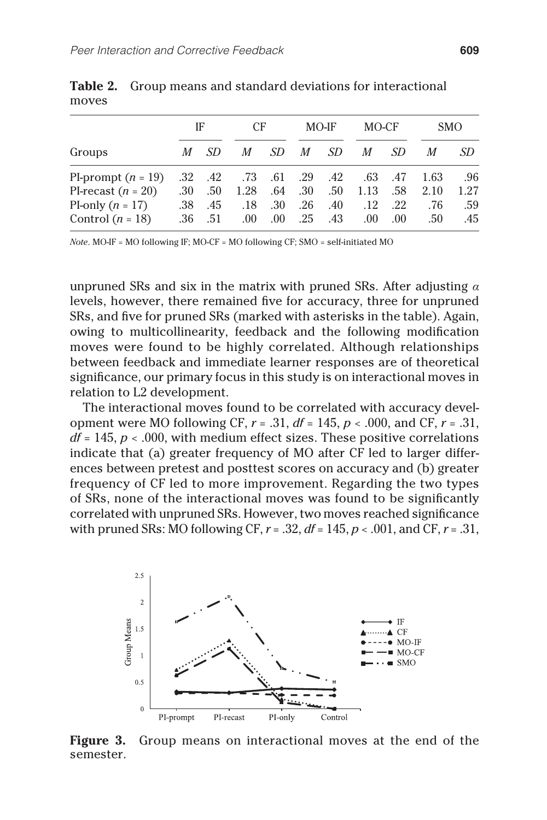|                                            |            | IF         | СF                  |            |            | MO-IF      | MO-CF       |            |             | <b>SMO</b>  |
|--------------------------------------------|------------|------------|---------------------|------------|------------|------------|-------------|------------|-------------|-------------|
| Groups                                     | M          | SD.        | M                   | SD.        | M          | SD.        | M           | SD.        | M           | SD          |
| PI-prompt $(n = 19)$                       |            |            | $.32 \t .42 \t .73$ | .61 .29    |            | .42        | .63         | .47        | 1.63        | .96         |
| PI-recast $(n = 20)$<br>PI-only $(n = 17)$ | .30<br>.38 | .50<br>.45 | 1.28<br>.18         | .64<br>.30 | .30<br>.26 | .50<br>.40 | 1.13<br>.12 | .58<br>.22 | 2.10<br>.76 | 1.27<br>.59 |
| Control $(n = 18)$                         | .36        | .51        | .00.                | .00.       | .25        | .43        | .00.        | .00.       | .50         | .45         |

**Table 2.** Group means and standard deviations for interactional moves

*Note*. MO-IF = MO following IF; MO-CF = MO following CF; SMO = self-initiated MO

unpruned SRs and six in the matrix with pruned SRs. After adjusting *α* levels, however, there remained five for accuracy, three for unpruned SRs, and five for pruned SRs (marked with asterisks in the table). Again, owing to multicollinearity, feedback and the following modification moves were found to be highly correlated. Although relationships between feedback and immediate learner responses are of theoretical significance, our primary focus in this study is on interactional moves in relation to L2 development.

The interactional moves found to be correlated with accuracy development were MO following CF, *r* = .31, *df* = 145, *p* < .000, and CF, *r* = .31,  $df = 145$ ,  $p < .000$ , with medium effect sizes. These positive correlations indicate that (a) greater frequency of MO after CF led to larger differences between pretest and posttest scores on accuracy and (b) greater frequency of CF led to more improvement. Regarding the two types of SRs, none of the interactional moves was found to be significantly correlated with unpruned SRs. However, two moves reached significance with pruned SRs: MO following CF, *r* = .32, *df* = 145, *p* < .001, and CF, *r* = .31,



**Figure 3.** Group means on interactional moves at the end of the semester.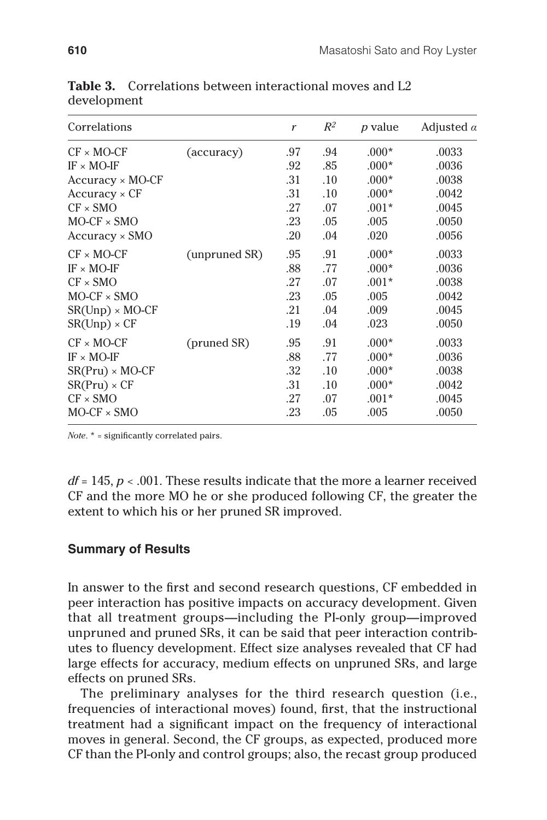| Correlations            |               | r   | $R^2$ | <i>p</i> value | Adjusted $\alpha$ |
|-------------------------|---------------|-----|-------|----------------|-------------------|
| $CF \times MO-CF$       | (accuracy)    | .97 | .94   | $.000*$        | .0033             |
| $IF \times MO-IF$       |               | .92 | .85   | $.000*$        | .0036             |
| $Accuracy \times MO-CF$ |               | .31 | .10   | $.000*$        | .0038             |
| $Accuracy \times CF$    |               | .31 | .10   | $.000*$        | .0042             |
| $CF \times SMO$         |               | .27 | .07   | $.001*$        | .0045             |
| $MO-CF \times SMO$      |               | .23 | .05   | .005           | .0050             |
| $Accuracy \times SMO$   |               | .20 | .04   | .020           | .0056             |
| $CF \times MO-CF$       | (unpruned SR) | .95 | .91   | $.000*$        | .0033             |
| $IF \times MO-IF$       |               | .88 | .77   | $.000*$        | .0036             |
| $CF \times SMO$         |               | .27 | .07   | $.001*$        | .0038             |
| $MO-CF \times SMO$      |               | .23 | .05   | .005           | .0042             |
| $SR(Unp) \times MO-CF$  |               | .21 | .04   | .009           | .0045             |
| $SR(Unp) \times CF$     |               | .19 | .04   | .023           | .0050             |
| $CF \times MO-CF$       | (pruned SR)   | .95 | .91   | $.000*$        | .0033             |
| $IF \times MO-IF$       |               | .88 | .77   | $.000*$        | .0036             |
| $SR(Pru) \times MO-CF$  |               | .32 | .10   | $.000*$        | .0038             |
| $SR(Pru) \times CF$     |               | .31 | .10   | $.000*$        | .0042             |
| $CF \times SMO$         |               | .27 | .07   | $.001*$        | .0045             |
| $MO-CF \times SMO$      |               | .23 | .05   | .005           | .0050             |

**Table 3.** Correlations between interactional moves and L2 development

*Note*. \* = significantly correlated pairs.

*df* = 145, *p* < .001. These results indicate that the more a learner received CF and the more MO he or she produced following CF, the greater the extent to which his or her pruned SR improved.

#### **Summary of Results**

In answer to the first and second research questions, CF embedded in peer interaction has positive impacts on accuracy development. Given that all treatment groups—including the PI-only group—improved unpruned and pruned SRs, it can be said that peer interaction contributes to fluency development. Effect size analyses revealed that CF had large effects for accuracy, medium effects on unpruned SRs, and large effects on pruned SRs.

The preliminary analyses for the third research question (i.e., frequencies of interactional moves) found, first, that the instructional treatment had a significant impact on the frequency of interactional moves in general. Second, the CF groups, as expected, produced more CF than the PI-only and control groups; also, the recast group produced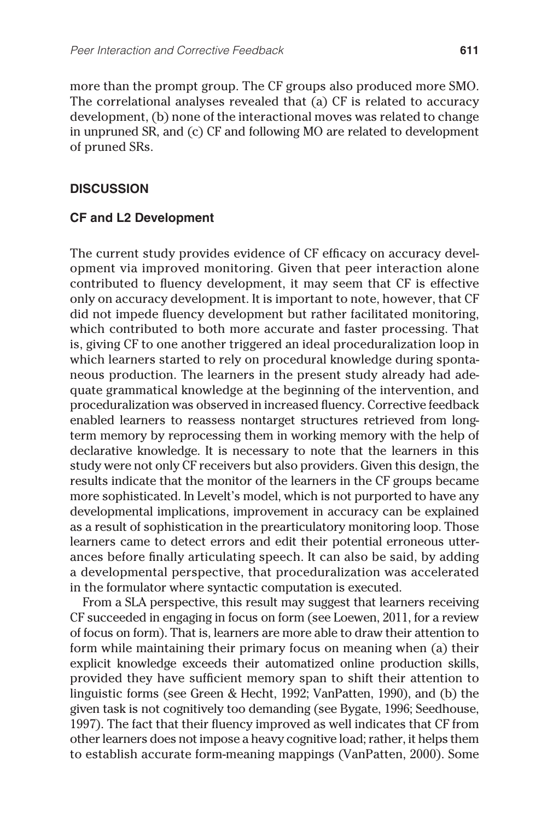more than the prompt group. The CF groups also produced more SMO. The correlational analyses revealed that (a) CF is related to accuracy development, (b) none of the interactional moves was related to change in unpruned SR, and (c) CF and following MO are related to development of pruned SRs.

#### **DISCUSSION**

#### **CF and L2 Development**

The current study provides evidence of CF efficacy on accuracy development via improved monitoring. Given that peer interaction alone contributed to fluency development, it may seem that CF is effective only on accuracy development. It is important to note, however, that CF did not impede fluency development but rather facilitated monitoring, which contributed to both more accurate and faster processing. That is, giving CF to one another triggered an ideal proceduralization loop in which learners started to rely on procedural knowledge during spontaneous production. The learners in the present study already had adequate grammatical knowledge at the beginning of the intervention, and proceduralization was observed in increased fluency. Corrective feedback enabled learners to reassess nontarget structures retrieved from longterm memory by reprocessing them in working memory with the help of declarative knowledge. It is necessary to note that the learners in this study were not only CF receivers but also providers. Given this design, the results indicate that the monitor of the learners in the CF groups became more sophisticated. In Levelt's model, which is not purported to have any developmental implications, improvement in accuracy can be explained as a result of sophistication in the prearticulatory monitoring loop. Those learners came to detect errors and edit their potential erroneous utterances before finally articulating speech. It can also be said, by adding a developmental perspective, that proceduralization was accelerated in the formulator where syntactic computation is executed.

From a SLA perspective, this result may suggest that learners receiving CF succeeded in engaging in focus on form (see Loewen, 2011 , for a review of focus on form). That is, learners are more able to draw their attention to form while maintaining their primary focus on meaning when (a) their explicit knowledge exceeds their automatized online production skills, provided they have sufficient memory span to shift their attention to linguistic forms (see Green & Hecht, 1992; VanPatten, 1990), and (b) the given task is not cognitively too demanding (see Bygate, 1996; Seedhouse, 1997). The fact that their fluency improved as well indicates that CF from other learners does not impose a heavy cognitive load; rather, it helps them to establish accurate form-meaning mappings (VanPatten, 2000). Some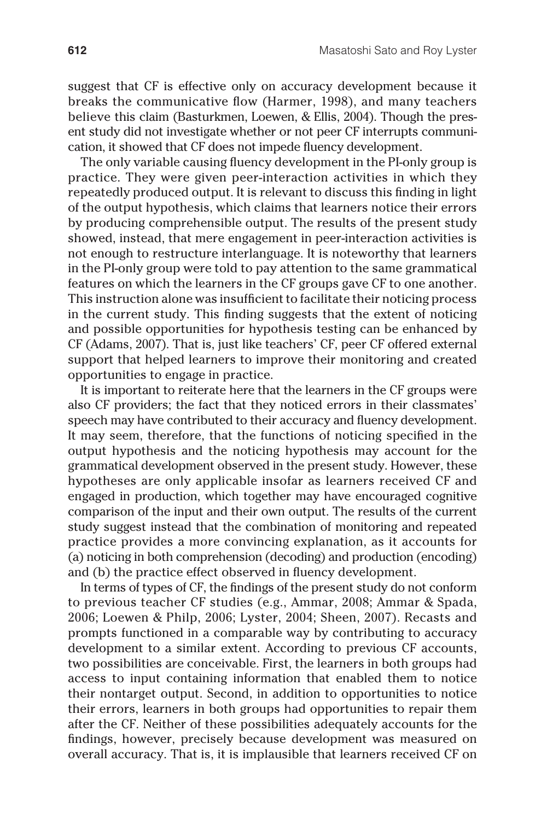suggest that CF is effective only on accuracy development because it breaks the communicative flow (Harmer, 1998), and many teachers believe this claim (Basturkmen, Loewen, & Ellis, 2004). Though the present study did not investigate whether or not peer CF interrupts communication, it showed that CF does not impede fluency development.

The only variable causing fluency development in the PI-only group is practice. They were given peer-interaction activities in which they repeatedly produced output. It is relevant to discuss this finding in light of the output hypothesis, which claims that learners notice their errors by producing comprehensible output. The results of the present study showed, instead, that mere engagement in peer-interaction activities is not enough to restructure interlanguage. It is noteworthy that learners in the PI-only group were told to pay attention to the same grammatical features on which the learners in the CF groups gave CF to one another. This instruction alone was insufficient to facilitate their noticing process in the current study. This finding suggests that the extent of noticing and possible opportunities for hypothesis testing can be enhanced by CF (Adams, 2007). That is, just like teachers' CF, peer CF offered external support that helped learners to improve their monitoring and created opportunities to engage in practice.

It is important to reiterate here that the learners in the CF groups were also CF providers; the fact that they noticed errors in their classmates' speech may have contributed to their accuracy and fluency development. It may seem, therefore, that the functions of noticing specified in the output hypothesis and the noticing hypothesis may account for the grammatical development observed in the present study. However, these hypotheses are only applicable insofar as learners received CF and engaged in production, which together may have encouraged cognitive comparison of the input and their own output. The results of the current study suggest instead that the combination of monitoring and repeated practice provides a more convincing explanation, as it accounts for (a) noticing in both comprehension (decoding) and production (encoding) and (b) the practice effect observed in fluency development.

In terms of types of CF, the findings of the present study do not conform to previous teacher CF studies (e.g., Ammar, 2008; Ammar & Spada, 2006; Loewen & Philp, 2006; Lyster, 2004; Sheen, 2007). Recasts and prompts functioned in a comparable way by contributing to accuracy development to a similar extent. According to previous CF accounts, two possibilities are conceivable. First, the learners in both groups had access to input containing information that enabled them to notice their nontarget output. Second, in addition to opportunities to notice their errors, learners in both groups had opportunities to repair them after the CF. Neither of these possibilities adequately accounts for the findings, however, precisely because development was measured on overall accuracy. That is, it is implausible that learners received CF on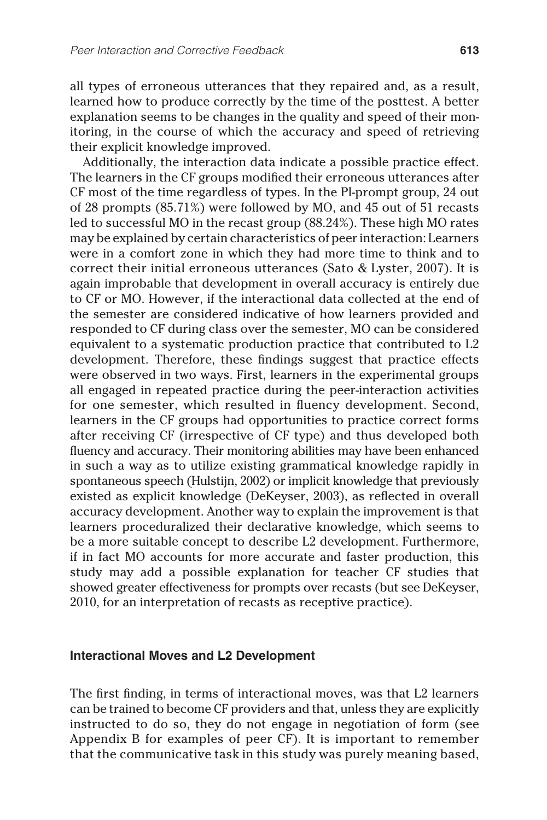all types of erroneous utterances that they repaired and, as a result, learned how to produce correctly by the time of the posttest. A better explanation seems to be changes in the quality and speed of their monitoring, in the course of which the accuracy and speed of retrieving their explicit knowledge improved.

Additionally, the interaction data indicate a possible practice effect. The learners in the CF groups modified their erroneous utterances after CF most of the time regardless of types. In the PI-prompt group, 24 out of 28 prompts (85.71%) were followed by MO, and 45 out of 51 recasts led to successful MO in the recast group (88.24%). These high MO rates may be explained by certain characteristics of peer interaction: Learners were in a comfort zone in which they had more time to think and to correct their initial erroneous utterances (Sato & Lyster, 2007). It is again improbable that development in overall accuracy is entirely due to CF or MO. However, if the interactional data collected at the end of the semester are considered indicative of how learners provided and responded to CF during class over the semester, MO can be considered equivalent to a systematic production practice that contributed to L2 development. Therefore, these findings suggest that practice effects were observed in two ways. First, learners in the experimental groups all engaged in repeated practice during the peer-interaction activities for one semester, which resulted in fluency development. Second, learners in the CF groups had opportunities to practice correct forms after receiving CF (irrespective of CF type) and thus developed both fluency and accuracy. Their monitoring abilities may have been enhanced in such a way as to utilize existing grammatical knowledge rapidly in spontaneous speech (Hulstijn, 2002) or implicit knowledge that previously existed as explicit knowledge (DeKeyser, 2003), as reflected in overall accuracy development. Another way to explain the improvement is that learners proceduralized their declarative knowledge, which seems to be a more suitable concept to describe L2 development. Furthermore, if in fact MO accounts for more accurate and faster production, this study may add a possible explanation for teacher CF studies that showed greater effectiveness for prompts over recasts (but see DeKeyser, 2010, for an interpretation of recasts as receptive practice).

#### **Interactional Moves and L2 Development**

The first finding, in terms of interactional moves, was that L2 learners can be trained to become CF providers and that, unless they are explicitly instructed to do so, they do not engage in negotiation of form (see Appendix B for examples of peer CF). It is important to remember that the communicative task in this study was purely meaning based,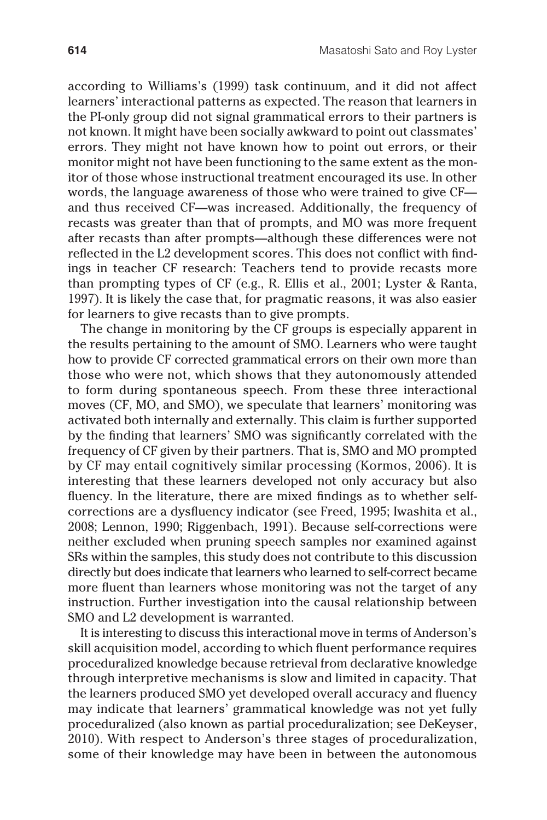according to Williams's (1999) task continuum, and it did not affect learners' interactional patterns as expected. The reason that learners in the PI-only group did not signal grammatical errors to their partners is not known. It might have been socially awkward to point out classmates' errors. They might not have known how to point out errors, or their monitor might not have been functioning to the same extent as the monitor of those whose instructional treatment encouraged its use. In other words, the language awareness of those who were trained to give CF and thus received CF—was increased. Additionally, the frequency of recasts was greater than that of prompts, and MO was more frequent after recasts than after prompts—although these differences were not reflected in the L2 development scores. This does not conflict with findings in teacher CF research: Teachers tend to provide recasts more than prompting types of  $CF$  (e.g., R. Ellis et al., 2001; Lyster  $\&$  Ranta, 1997). It is likely the case that, for pragmatic reasons, it was also easier for learners to give recasts than to give prompts.

The change in monitoring by the CF groups is especially apparent in the results pertaining to the amount of SMO. Learners who were taught how to provide CF corrected grammatical errors on their own more than those who were not, which shows that they autonomously attended to form during spontaneous speech. From these three interactional moves (CF, MO, and SMO), we speculate that learners' monitoring was activated both internally and externally. This claim is further supported by the finding that learners' SMO was significantly correlated with the frequency of CF given by their partners. That is, SMO and MO prompted by CF may entail cognitively similar processing (Kormos, 2006). It is interesting that these learners developed not only accuracy but also fluency. In the literature, there are mixed findings as to whether selfcorrections are a dysfluency indicator (see Freed, 1995; Iwashita et al., 2008; Lennon, 1990; Riggenbach, 1991). Because self-corrections were neither excluded when pruning speech samples nor examined against SRs within the samples, this study does not contribute to this discussion directly but does indicate that learners who learned to self-correct became more fluent than learners whose monitoring was not the target of any instruction. Further investigation into the causal relationship between SMO and L2 development is warranted.

It is interesting to discuss this interactional move in terms of Anderson's skill acquisition model, according to which fluent performance requires proceduralized knowledge because retrieval from declarative knowledge through interpretive mechanisms is slow and limited in capacity. That the learners produced SMO yet developed overall accuracy and fluency may indicate that learners' grammatical knowledge was not yet fully proceduralized (also known as partial proceduralization; see DeKeyser, 2010). With respect to Anderson's three stages of proceduralization, some of their knowledge may have been in between the autonomous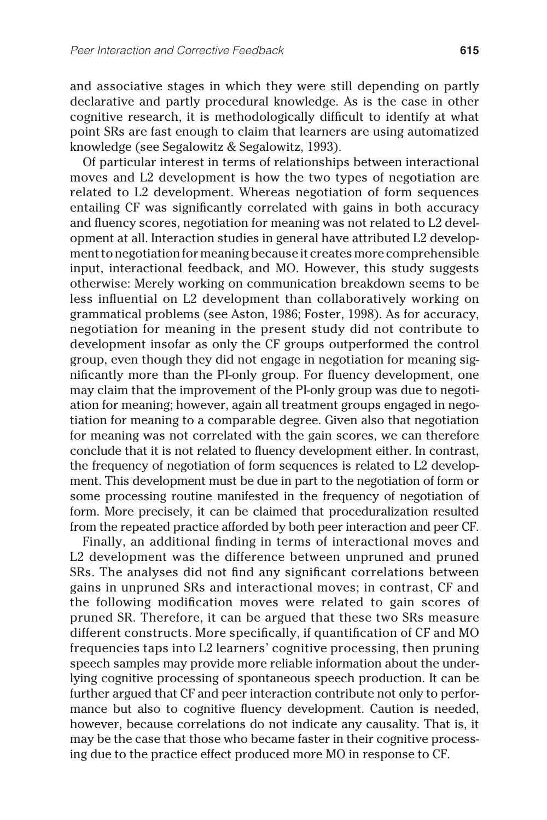and associative stages in which they were still depending on partly declarative and partly procedural knowledge. As is the case in other cognitive research, it is methodologically difficult to identify at what point SRs are fast enough to claim that learners are using automatized knowledge (see Segalowitz & Segalowitz, 1993 ).

Of particular interest in terms of relationships between interactional moves and L2 development is how the two types of negotiation are related to L2 development. Whereas negotiation of form sequences entailing CF was significantly correlated with gains in both accuracy and fluency scores, negotiation for meaning was not related to L2 development at all. Interaction studies in general have attributed L2 development to negotiation for meaning because it creates more comprehensible input, interactional feedback, and MO. However, this study suggests otherwise: Merely working on communication breakdown seems to be less influential on L2 development than collaboratively working on grammatical problems (see Aston, 1986; Foster, 1998). As for accuracy, negotiation for meaning in the present study did not contribute to development insofar as only the CF groups outperformed the control group, even though they did not engage in negotiation for meaning significantly more than the PI-only group. For fluency development, one may claim that the improvement of the PI-only group was due to negotiation for meaning; however, again all treatment groups engaged in negotiation for meaning to a comparable degree. Given also that negotiation for meaning was not correlated with the gain scores, we can therefore conclude that it is not related to fluency development either. In contrast, the frequency of negotiation of form sequences is related to L2 development. This development must be due in part to the negotiation of form or some processing routine manifested in the frequency of negotiation of form. More precisely, it can be claimed that proceduralization resulted from the repeated practice afforded by both peer interaction and peer CF.

Finally, an additional finding in terms of interactional moves and L2 development was the difference between unpruned and pruned SRs. The analyses did not find any significant correlations between gains in unpruned SRs and interactional moves; in contrast, CF and the following modification moves were related to gain scores of pruned SR. Therefore, it can be argued that these two SRs measure different constructs. More specifically, if quantification of CF and MO frequencies taps into L2 learners' cognitive processing, then pruning speech samples may provide more reliable information about the underlying cognitive processing of spontaneous speech production. It can be further argued that CF and peer interaction contribute not only to performance but also to cognitive fluency development. Caution is needed, however, because correlations do not indicate any causality. That is, it may be the case that those who became faster in their cognitive processing due to the practice effect produced more MO in response to CF.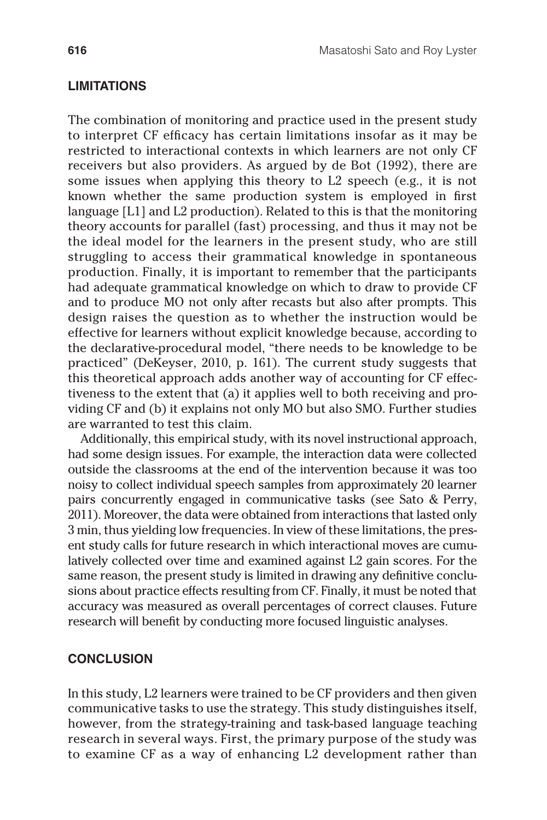### **LIMITATIONS**

The combination of monitoring and practice used in the present study to interpret CF efficacy has certain limitations insofar as it may be restricted to interactional contexts in which learners are not only CF receivers but also providers. As argued by de Bot (1992), there are some issues when applying this theory to L2 speech (e.g., it is not known whether the same production system is employed in first language [L1] and L2 production). Related to this is that the monitoring theory accounts for parallel (fast) processing, and thus it may not be the ideal model for the learners in the present study, who are still struggling to access their grammatical knowledge in spontaneous production. Finally, it is important to remember that the participants had adequate grammatical knowledge on which to draw to provide CF and to produce MO not only after recasts but also after prompts. This design raises the question as to whether the instruction would be effective for learners without explicit knowledge because, according to the declarative-procedural model, "there needs to be knowledge to be practiced" (DeKeyser, 2010, p. 161). The current study suggests that this theoretical approach adds another way of accounting for CF effectiveness to the extent that (a) it applies well to both receiving and providing CF and (b) it explains not only MO but also SMO. Further studies are warranted to test this claim.

Additionally, this empirical study, with its novel instructional approach, had some design issues. For example, the interaction data were collected outside the classrooms at the end of the intervention because it was too noisy to collect individual speech samples from approximately 20 learner pairs concurrently engaged in communicative tasks (see Sato & Perry, 2011). Moreover, the data were obtained from interactions that lasted only 3 min, thus yielding low frequencies. In view of these limitations, the present study calls for future research in which interactional moves are cumulatively collected over time and examined against L2 gain scores. For the same reason, the present study is limited in drawing any definitive conclusions about practice effects resulting from CF. Finally, it must be noted that accuracy was measured as overall percentages of correct clauses. Future research will benefit by conducting more focused linguistic analyses.

#### **CONCLUSION**

In this study, L2 learners were trained to be CF providers and then given communicative tasks to use the strategy. This study distinguishes itself, however, from the strategy-training and task-based language teaching research in several ways. First, the primary purpose of the study was to examine CF as a way of enhancing L2 development rather than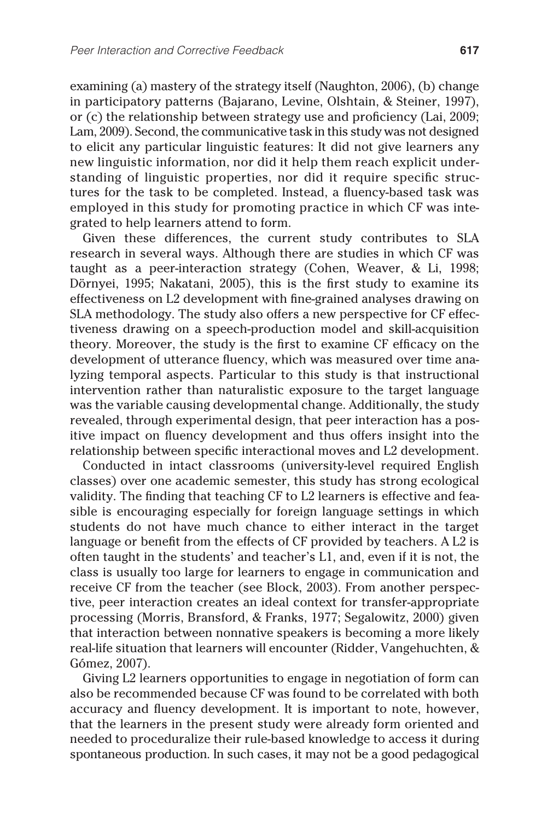examining (a) mastery of the strategy itself (Naughton, 2006), (b) change in participatory patterns (Bajarano, Levine, Olshtain, & Steiner, 1997), or  $(c)$  the relationship between strategy use and proficiency (Lai, 2009; Lam, 2009 ). Second, the communicative task in this study was not designed to elicit any particular linguistic features: It did not give learners any new linguistic information, nor did it help them reach explicit understanding of linguistic properties, nor did it require specific structures for the task to be completed. Instead, a fluency-based task was employed in this study for promoting practice in which CF was integrated to help learners attend to form.

Given these differences, the current study contributes to SLA research in several ways. Although there are studies in which CF was taught as a peer-interaction strategy (Cohen, Weaver, & Li, 1998; Dörnyei, 1995; Nakatani, 2005), this is the first study to examine its effectiveness on L2 development with fine-grained analyses drawing on SLA methodology. The study also offers a new perspective for CF effectiveness drawing on a speech-production model and skill-acquisition theory. Moreover, the study is the first to examine CF efficacy on the development of utterance fluency, which was measured over time analyzing temporal aspects. Particular to this study is that instructional intervention rather than naturalistic exposure to the target language was the variable causing developmental change. Additionally, the study revealed, through experimental design, that peer interaction has a positive impact on fluency development and thus offers insight into the relationship between specific interactional moves and L2 development.

Conducted in intact classrooms (university-level required English classes) over one academic semester, this study has strong ecological validity. The finding that teaching CF to L2 learners is effective and feasible is encouraging especially for foreign language settings in which students do not have much chance to either interact in the target language or benefit from the effects of  $CF$  provided by teachers. A  $L2$  is often taught in the students' and teacher's L1, and, even if it is not, the class is usually too large for learners to engage in communication and receive CF from the teacher (see Block, 2003). From another perspective, peer interaction creates an ideal context for transfer-appropriate processing (Morris, Bransford, & Franks, 1977 ; Segalowitz, 2000 ) given that interaction between nonnative speakers is becoming a more likely real-life situation that learners will encounter (Ridder, Vangehuchten, & Gómez, 2007).

Giving L2 learners opportunities to engage in negotiation of form can also be recommended because CF was found to be correlated with both accuracy and fluency development. It is important to note, however, that the learners in the present study were already form oriented and needed to proceduralize their rule-based knowledge to access it during spontaneous production. In such cases, it may not be a good pedagogical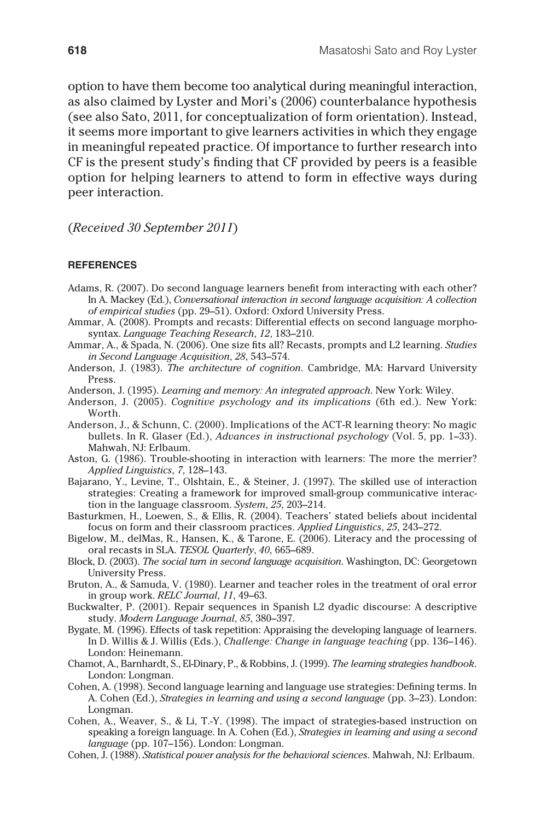option to have them become too analytical during meaningful interaction, as also claimed by Lyster and Mori's ( 2006 ) counterbalance hypothesis (see also Sato, 2011 , for conceptualization of form orientation). Instead, it seems more important to give learners activities in which they engage in meaningful repeated practice. Of importance to further research into CF is the present study's finding that CF provided by peers is a feasible option for helping learners to attend to form in effective ways during peer interaction.

(*Received 30 September 2011* )

#### **REFERENCES**

- Adams, R. (2007). Do second language learners benefit from interacting with each other? In A. Mackey (Ed.), *Conversational interaction in second language acquisition: A collection of empirical studies* (pp. 29–51). Oxford: Oxford University Press.
- Ammar, A. (2008). Prompts and recasts: Differential effects on second language morphosyntax. *Language Teaching Research*, 12, 183-210.
- Ammar, A., & Spada, N. (2006). One size fits all? Recasts, prompts and L2 learning. *Studies in Second Language Acquisition*, *28*, 543 – 574 .
- Anderson, J. (1983). *The architecture of cognition*. Cambridge, MA: Harvard University Press.
- Anderson, J. (1995). *Learning and memory: An integrated approach*. New York: Wiley.
- Anderson, J. (2005). *Cognitive psychology and its implications* (6th ed.). New York: Worth.
- Anderson, J., & Schunn, C. (2000). Implications of the ACT-R learning theory: No magic bullets. In R. Glaser (Ed.), *Advances in instructional psychology* (Vol. 5, pp. 1-33). Mahwah, NJ: Erlbaum.
- Aston, G. (1986). Trouble-shooting in interaction with learners: The more the merrier? Applied Linguistics, 7, 128-143.
- Bajarano, Y., Levine, T., Olshtain, E., & Steiner, J. (1997). The skilled use of interaction strategies: Creating a framework for improved small-group communicative interaction in the language classroom. *System*, 25, 203-214.
- Basturkmen, H., Loewen, S., & Ellis, R. (2004). Teachers' stated beliefs about incidental focus on form and their classroom practices . *Applied Linguistics*, *25*, 243 – 272 .
- Bigelow, M., delMas, R., Hansen, K., & Tarone, E. (2006). Literacy and the processing of oral recasts in SLA. *TESOL Quarterly*, 40, 665-689.
- Block , D.( 2003 ). *The social turn in second language acquisition*. Washington, DC : Georgetown University Press .
- Bruton, A., & Samuda, V. (1980). Learner and teacher roles in the treatment of oral error in group work. *RELC Journal*, 11, 49-63.
- Buckwalter, P. (2001). Repair sequences in Spanish L2 dyadic discourse: A descriptive study. Modern Language Journal, 85, 380-397.
- Bygate, M. (1996). Effects of task repetition: Appraising the developing language of learners. In D. Willis & J. Willis (Eds.), *Challenge: Change in language teaching* (pp. 136–146). London: Heinemann.
- Chamot , A. , Barnhardt , S. , El-Dinary , P. , & Robbins , J.( 1999 ). *The learning strategies handbook*. London: Longman.
- Cohen, A. (1998). Second language learning and language use strategies: Defining terms. In A. Cohen (Ed.), *Strategies in learning and using a second language* (pp. 3–23). London: Longman.
- Cohen, A., Weaver, S., & Li, T.-Y. (1998). The impact of strategies-based instruction on speaking a foreign language . In A. Cohen(Ed.), *Strategies in learning and using a second language* (pp. 107-156). London: Longman.
- Cohen, J. (1988). *Statistical power analysis for the behavioral sciences*. Mahwah, NJ: Erlbaum.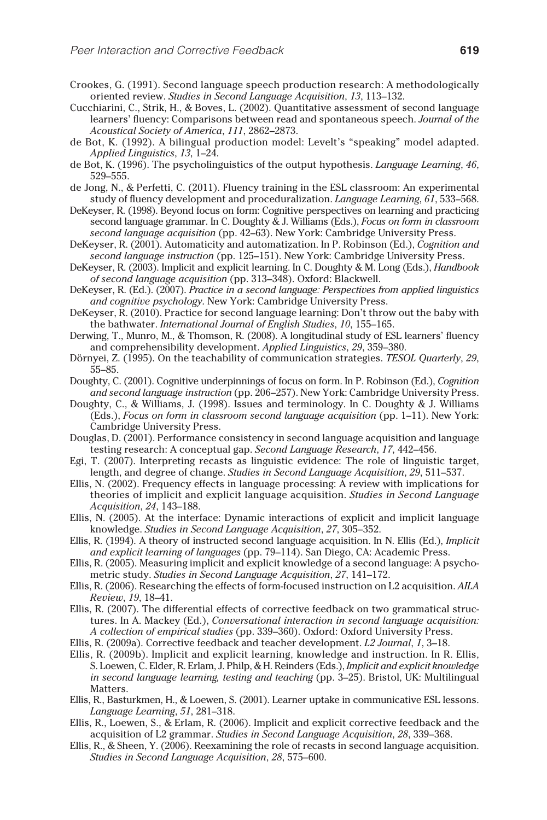- Crookes , G.( 1991 ). Second language speech production research: A methodologically oriented review. *Studies in Second Language Acquisition*, 13, 113–132.
- Cucchiarini, C., Strik, H., & Boves, L. (2002). Quantitative assessment of second language learners' fluency: Comparisons between read and spontaneous speech. *Journal of the* Acoustical Society of America, 111, 2862-2873.
- de Bot, K. (1992). A bilingual production model: Levelt's "speaking" model adapted. *Applied Linguistics*, 13, 1–24.
- de Bot, K. (1996). The psycholinguistics of the output hypothesis. *Language Learning*, 46, 529-555.
- de Jong, N., & Perfetti, C. (2011). Fluency training in the ESL classroom: An experimental study of fluency development and proceduralization. *Language Learning*, 61, 533–568.
- DeKeyser, R. (1998). Beyond focus on form: Cognitive perspectives on learning and practicing second language grammar . In C. Doughty& J. Williams(Eds.), *Focus on form in classroom*  second language acquisition (pp. 42-63). New York: Cambridge University Press.
- DeKeyser, R. (2001). Automaticity and automatization. In P. Robinson (Ed.), *Cognition and* second language instruction (pp. 125-151). New York: Cambridge University Press.
- DeKeyser , R.( 2003 ). Implicit and explicit learning . In C. Doughty& M. Long(Eds.), *Handbook of second language acquisition* (pp. 313–348). Oxford: Blackwell.
- DeKeyser , R . (Ed.). ( 2007 ). *Practice in a second language: Perspectives from applied linguistics*  and cognitive psychology. New York: Cambridge University Press.
- DeKeyser , R.( 2010 ). Practice for second language learning: Don't throw out the baby with the bathwater . *International Journal of English Studies*, *10*, 155 – 165 .
- Derwing, T., Munro, M., & Thomson, R. (2008). A longitudinal study of ESL learners' fluency and comprehensibility development. *Applied Linguistics*, 29, 359–380.
- Dörnyei, Z. (1995). On the teachability of communication strategies. *TESOL Quarterly*, 29, 55-85.
- Doughty , C.( 2001 ). Cognitive underpinnings of focus on form . In P. Robinson(Ed.), *Cognition*  and second language instruction (pp. 206-257). New York: Cambridge University Press.
- Doughty, C., & Williams, J. (1998). Issues and terminology. In C. Doughty & J. Williams (Eds.), *Focus on form in classroom second language acquisition* (pp. 1–11). New York: Cambridge University Press .
- Douglas, D. (2001). Performance consistency in second language acquisition and language testing research: A conceptual gap. *Second Language Research*, 17, 442–456.
- Egi, T. (2007). Interpreting recasts as linguistic evidence: The role of linguistic target, length, and degree of change . *Studies in Second Language Acquisition*, *29*, 511 – 537 .
- Ellis , N.( 2002 ). Frequency effects in language processing: A review with implications for theories of implicit and explicit language acquisition . *Studies in Second Language Acquisition*, *24*, 143 – 188 .
- Ellis, N. (2005). At the interface: Dynamic interactions of explicit and implicit language knowledge. *Studies in Second Language Acquisition*, 27, 305-352.
- Ellis , R.( 1994 ). A theory of instructed second language acquisition . In N. Ellis(Ed.), *Implicit and explicit learning of languages* (pp. 79 – 114 ). San Diego, CA : Academic Press .
- Ellis , R.( 2005 ). Measuring implicit and explicit knowledge of a second language: A psychometric study. *Studies in Second Language Acquisition*, 27, 141-172.
- Ellis , R.( 2006 ). Researching the effects of form-focused instruction on L2 acquisition . *AILA Review*, *19*, 18 – 41 .
- Ellis, R. (2007). The differential effects of corrective feedback on two grammatical structures . In A. Mackey(Ed.), *Conversational interaction in second language acquisition: A collection of empirical studies* (pp. 339 – 360 ). Oxford : Oxford University Press .
- Ellis, R. (2009a). Corrective feedback and teacher development. *L2 Journal*, 1, 3-18.
- Ellis, R. (2009b). Implicit and explicit learning, knowledge and instruction. In R. Ellis, S. Loewen , C. Elder , R. Erlam , J. Philp , & H. Reinders(Eds.), *Implicit and explicit knowledge in second language learning, testing and teaching* (pp. 3–25). Bristol, UK: Multilingual Matters.
- Ellis, R., Basturkmen, H., & Loewen, S. (2001). Learner uptake in communicative ESL lessons. *Language Learning*, *51*, 281 – 318 .
- Ellis, R., Loewen, S., & Erlam, R. (2006). Implicit and explicit corrective feedback and the acquisition of L2 grammar. *Studies in Second Language Acquisition*, 28, 339-368.
- Ellis, R., & Sheen, Y. (2006). Reexamining the role of recasts in second language acquisition. *Studies in Second Language Acquisition*, *28*, 575 – 600 .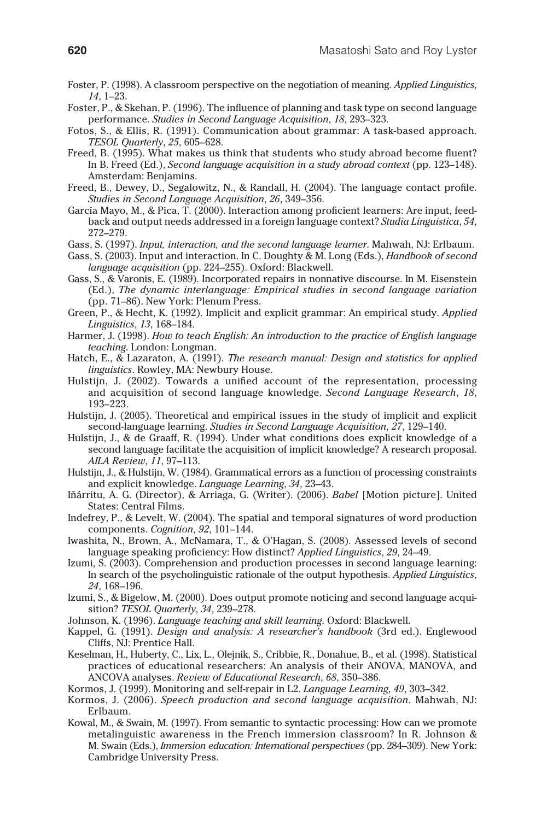- Foster , P.( 1998 ). A classroom perspective on the negotiation of meaning . *Applied Linguistics*, *14*, 1–23.
- Foster, P., & Skehan, P. (1996). The influence of planning and task type on second language performance. *Studies in Second Language Acquisition*, 18, 293-323.
- Fotos, S., & Ellis, R. (1991). Communication about grammar: A task-based approach. *TESOL Quarterly*, 25, 605-628.
- Freed, B. (1995). What makes us think that students who study abroad become fluent? In B. Freed (Ed.), *Second language acquisition in a study abroad context* (pp. 123–148). Amsterdam: Benjamins.
- Freed, B., Dewey, D., Segalowitz, N., & Randall, H. (2004). The language contact profile. *Studies in Second Language Acquisition, 26, 349-356.*
- García Mayo, M., & Pica, T. (2000). Interaction among proficient learners: Are input, feedback and output needs addressed in a foreign language context? *Studia Linguistica*, *54*, 272-279.
- Gass, S. (1997). *Input, interaction, and the second language learner*. Mahwah, NJ: Erlbaum.
- Gass , S.( 2003 ). Input and interaction . In C. Doughty& M. Long(Eds.), *Handbook of second language acquisition* (pp. 224–255). Oxford: Blackwell.
- Gass, S., & Varonis, E. (1989). Incorporated repairs in nonnative discourse. In M. Eisenstein (Ed.), *The dynamic interlanguage: Empirical studies in second language variation* (pp. 71–86). New York: Plenum Press.
- Green , P. , & Hecht , K.( 1992 ). Implicit and explicit grammar: An empirical study . *Applied Linguistics*, 13, 168-184.
- Harmer, J. (1998). *How to teach English: An introduction to the practice of English language teaching*. London: Longman.
- Hatch , E. , & Lazaraton , A.( 1991 ). *The research manual: Design and statistics for applied linguistics*. Rowley, MA: Newbury House.
- Hulstijn, J. (2002). Towards a unified account of the representation, processing and acquisition of second language knowledge . *Second Language Research*, *18*, 193-223.
- Hulstijn, J. (2005). Theoretical and empirical issues in the study of implicit and explicit second-language learning. *Studies in Second Language Acquisition*, 27, 129-140.
- Hulstijn, J., & de Graaff, R. (1994). Under what conditions does explicit knowledge of a second language facilitate the acquisition of implicit knowledge? A research proposal . *AILA Review*, *11*, 97 – 113 .
- Hulstijn, J., & Hulstijn, W. (1984). Grammatical errors as a function of processing constraints and explicit knowledge. *Language Learning*, 34, 23-43.
- Iñárritu , A. G . (Director), & Arriaga , G.(Writer). ( 2006 ). *Babel* [Motion picture]. United States: Central Films.
- Indefrey, P., & Levelt, W. (2004). The spatial and temporal signatures of word production components. *Cognition*, 92, 101-144.
- Iwashita, N., Brown, A., McNamara, T., & O'Hagan, S. (2008). Assessed levels of second language speaking proficiency: How distinct? *Applied Linguistics*, 29, 24–49.
- Izumi, S. (2003). Comprehension and production processes in second language learning: In search of the psycholinguistic rationale of the output hypothesis . *Applied Linguistics*, 24, 168-196.
- Izumi, S., & Bigelow, M. (2000). Does output promote noticing and second language acquisition? *TESOL Quarterly*, 34, 239-278.
- Johnson, K. (1996). *Language teaching and skill learning*. Oxford: Blackwell.
- Kappel, G. (1991). *Design and analysis: A researcher's handbook* (3rd ed.). Englewood Cliffs, NJ: Prentice Hall.
- Keselman, H., Huberty, C., Lix, L., Olejnik, S., Cribbie, R., Donahue, B., et al. (1998). Statistical practices of educational researchers: An analysis of their ANOVA, MANOVA, and ANCOVA analyses. *Review of Educational Research*, 68, 350-386.
- Kormos, J. (1999). Monitoring and self-repair in L2. *Language Learning*, 49, 303-342.
- Kormos, J. (2006). *Speech production and second language acquisition*. Mahwah, NJ: Erlbaum.
- Kowal, M., & Swain, M. (1997). From semantic to syntactic processing: How can we promote metalinguistic awareness in the French immersion classroom? In R. Johnson & M. Swain (Eds.), *Immersion education: International perspectives* (pp. 284–309). New York: Cambridge University Press .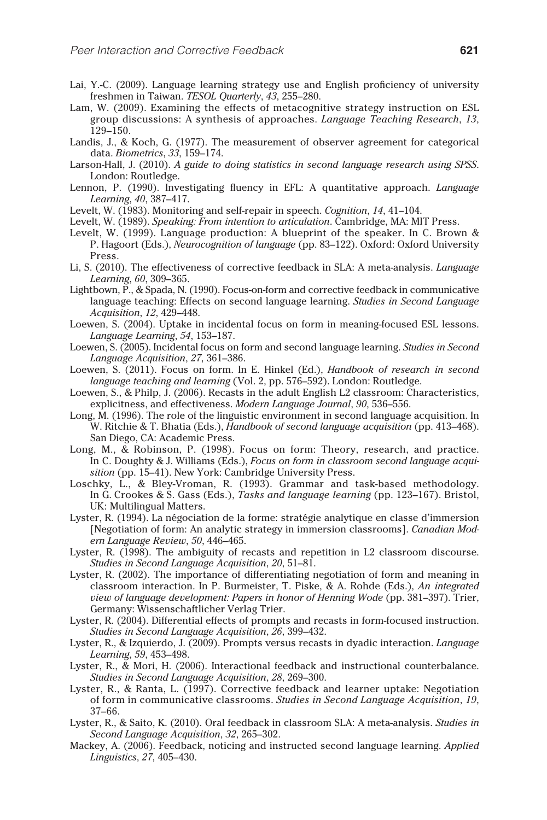- Lai, Y.-C. (2009). Language learning strategy use and English proficiency of university freshmen in Taiwan. *TESOL Quarterly*, 43, 255-280.
- Lam, W. (2009). Examining the effects of metacognitive strategy instruction on ESL group discussions: A synthesis of approaches . *Language Teaching Research*, *13*,  $129 - 150$ .
- Landis, J., & Koch, G. (1977). The measurement of observer agreement for categorical data. *Biometrics*, 33, 159-174.
- Larson-Hall, J. (2010). A guide to doing statistics in second language research using SPSS. London: Routledge.
- Lennon, P. (1990). Investigating fluency in EFL: A quantitative approach. *Language Learning*, 40, 387-417.
- Levelt, W. (1983). Monitoring and self-repair in speech. *Cognition*, 14, 41–104.
- Levelt, W. (1989). *Speaking: From intention to articulation*. Cambridge, MA: MIT Press.
- Levelt, W. (1999). Language production: A blueprint of the speaker. In C. Brown  $\&$ P. Hagoort (Eds.), *Neurocognition of language* (pp. 83–122). Oxford: Oxford University Press.
- Li , S.( 2010 ). The effectiveness of corrective feedback in SLA: A meta-analysis . *Language Learning*, 60, 309-365.
- Lightbown, P., & Spada, N. (1990). Focus-on-form and corrective feedback in communicative language teaching: Effects on second language learning . *Studies in Second Language Acquisition*, *12*, 429 – 448 .
- Loewen, S. (2004). Uptake in incidental focus on form in meaning-focused ESL lessons. *Language Learning*, 54, 153-187.
- Loewen, S. (2005). Incidental focus on form and second language learning. *Studies in Second Language Acquisition, 27, 361-386.*
- Loewen, S. (2011). Focus on form. In E. Hinkel (Ed.), *Handbook of research in second language teaching and learning* (Vol. 2, pp. 576–592). London: Routledge.
- Loewen, S., & Philp, J. (2006). Recasts in the adult English L2 classroom: Characteristics, explicitness, and effectiveness. *Modern Language Journal*, 90, 536–556.
- Long, M. (1996). The role of the linguistic environment in second language acquisition. In W. Ritchie & T. Bhatia (Eds.), *Handbook of second language acquisition* (pp. 413-468). San Diego, CA: Academic Press.
- Long, M.,  $\&$  Robinson, P. (1998). Focus on form: Theory, research, and practice. In C. Doughty& J. Williams(Eds.), *Focus on form in classroom second language acquisition* (pp. 15–41). New York: Cambridge University Press.
- Loschky, L., & Bley-Vroman, R. (1993). Grammar and task-based methodology. In G. Crookes & S. Gass (Eds.), *Tasks and language learning* (pp. 123-167). Bristol, UK: Multilingual Matters.
- Lyster, R. (1994). La négociation de la forme: stratégie analytique en classe d'immersion [Negotiation of form: An analytic strategy in immersion classrooms] . *Canadian Modern Language Review*, *50*, 446 – 465 .
- Lyster, R. (1998). The ambiguity of recasts and repetition in L2 classroom discourse. *Studies in Second Language Acquisition, 20, 51–81.*
- Lyster, R. (2002). The importance of differentiating negotiation of form and meaning in classroom interaction . In P. Burmeister , T. Piske , & A. Rohde(Eds.), *An integrated view of language development: Papers in honor of Henning Wode* (pp. 381–397). Trier, Germany: Wissenschaftlicher Verlag Trier.
- Lyster, R. (2004). Differential effects of prompts and recasts in form-focused instruction. *Studies in Second Language Acquisition, 26, 399-432.*
- Lyster , R. , & Izquierdo , J.( 2009 ). Prompts versus recasts in dyadic interaction . *Language*  Learning, 59, 453-498.
- Lyster, R.,  $\&$  Mori, H. (2006). Interactional feedback and instructional counterbalance. *Studies in Second Language Acquisition, 28, 269-300.*
- Lyster, R., & Ranta, L. (1997). Corrective feedback and learner uptake: Negotiation of form in communicative classrooms . *Studies in Second Language Acquisition*, *19*,  $37 - 66.$
- Lyster , R. , & Saito , K.( 2010 ). Oral feedback in classroom SLA: A meta-analysis . *Studies in Second Language Acquisition*, *32*, 265 – 302 .
- Mackey , A.( 2006 ). Feedback, noticing and instructed second language learning . *Applied Linguistics*, *27*, 405 – 430 .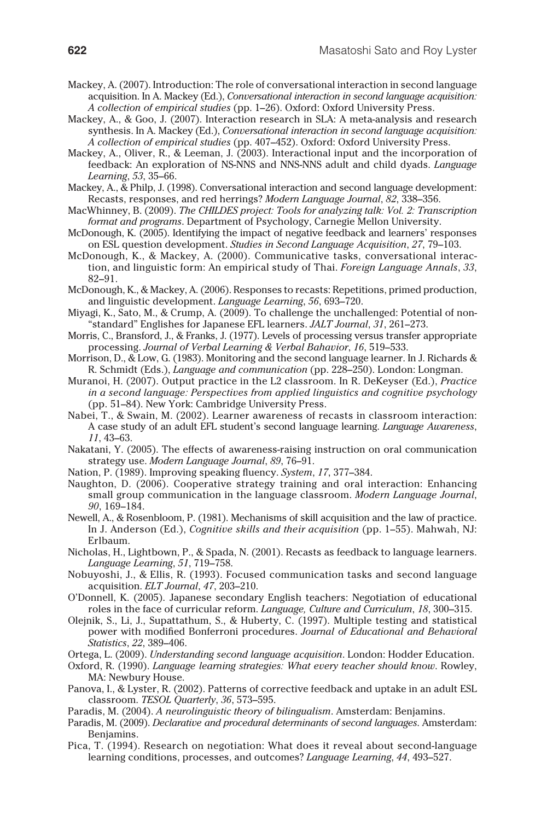- Mackey, A. (2007). Introduction: The role of conversational interaction in second language acquisition . In A. Mackey(Ed.), *Conversational interaction in second language acquisition:*  A collection of empirical studies (pp. 1–26). Oxford: Oxford University Press.
- Mackey, A., & Goo, J. (2007). Interaction research in SLA: A meta-analysis and research synthesis . In A. Mackey(Ed.), *Conversational interaction in second language acquisition:*  A collection of empirical studies (pp. 407-452). Oxford: Oxford University Press.
- Mackey, A., Oliver, R., & Leeman, J. (2003). Interactional input and the incorporation of feedback: An exploration of NS-NNS and NNS-NNS adult and child dyads . *Language Learning*, *53*, 35 – 66 .
- Mackey, A., & Philp, J. (1998). Conversational interaction and second language development: Recasts, responses, and red herrings? *Modern Language Journal*, *82*, 338 – 356 .
- MacWhinney , B.( 2009 ). *The CHILDES project: Tools for analyzing talk: Vol. 2: Transcription format and programs*. Department of Psychology, Carnegie Mellon University .
- McDonough, K. (2005). Identifying the impact of negative feedback and learners' responses on ESL question development . *Studies in Second Language Acquisition*, *27*, 79 – 103 .
- McDonough, K., & Mackey, A. (2000). Communicative tasks, conversational interaction, and linguistic form: An empirical study of Thai . *Foreign Language Annals*, *33*,  $82 - 91.$
- McDonough, K., & Mackey, A. (2006). Responses to recasts: Repetitions, primed production, and linguistic development. *Language Learning*, 56, 693-720.
- Miyagi, K., Sato, M., & Crump, A. (2009). To challenge the unchallenged: Potential of non-"standard" Englishes for Japanese EFL learners. *JALT Journal*, 31, 261-273.
- Morris, C., Bransford, J., & Franks, J. (1977). Levels of processing versus transfer appropriate processing. *Journal of Verbal Learning & Verbal Bahavior*, 16, 519–533.
- Morrison, D., & Low, G. (1983). Monitoring and the second language learner. In J. Richards & R. Schmidt (Eds.), *Language and communication* (pp. 228-250). London: Longman.
- Muranoi, H. (2007). Output practice in the L2 classroom. In R. DeKeyser (Ed.), *Practice in a second language: Perspectives from applied linguistics and cognitive psychology* (pp. 51–84). New York: Cambridge University Press.
- Nabei, T., & Swain, M. (2002). Learner awareness of recasts in classroom interaction: A case study of an adult EFL student's second language learning . *Language Awareness*, *11*, 43–63.
- Nakatani, Y. (2005). The effects of awareness-raising instruction on oral communication strategy use. Modern Language Journal, 89, 76-91.
- Nation, P. (1989). Improving speaking fluency. *System*, 17, 377–384.
- Naughton, D. (2006). Cooperative strategy training and oral interaction: Enhancing small group communication in the language classroom . *Modern Language Journal*, 90, 169-184.
- Newell, A., & Rosenbloom, P. (1981). Mechanisms of skill acquisition and the law of practice. In J. Anderson (Ed.), *Cognitive skills and their acquisition* (pp. 1–55). Mahwah, NJ: Erlbaum.
- Nicholas, H., Lightbown, P., & Spada, N. (2001). Recasts as feedback to language learners. *Language Learning*, *51*, 719 – 758 .
- Nobuyoshi, J., & Ellis, R. (1993). Focused communication tasks and second language acquisition . *ELT Journal*, *47*, 203 – 210 .
- O'Donnell, K. (2005). Japanese secondary English teachers: Negotiation of educational roles in the face of curricular reform. *Language, Culture and Curriculum*, *18*, 300–315.
- Olejnik, S., Li, J., Supattathum, S., & Huberty, C. (1997). Multiple testing and statistical power with modified Bonferroni procedures. Journal of Educational and Behavioral *Statistics*, *22*, 389 – 406 .
- Ortega, L. (2009). *Understanding second language acquisition*. London: Hodder Education.
- Oxford , R.( 1990 ). *Language learning strategies: What every teacher should know*. Rowley, MA: Newbury House.
- Panova, I., & Lyster, R. (2002). Patterns of corrective feedback and uptake in an adult ESL classroom. *TESOL Quarterly*, 36, 573-595.
- Paradis, M. (2004). *A neurolinguistic theory of bilingualism*. Amsterdam: Benjamins.
- Paradis, M. (2009). *Declarative and procedural determinants of second languages*. Amsterdam: Benjamins.
- Pica, T. (1994). Research on negotiation: What does it reveal about second-language learning conditions, processes, and outcomes? *Language Learning*, 44, 493–527.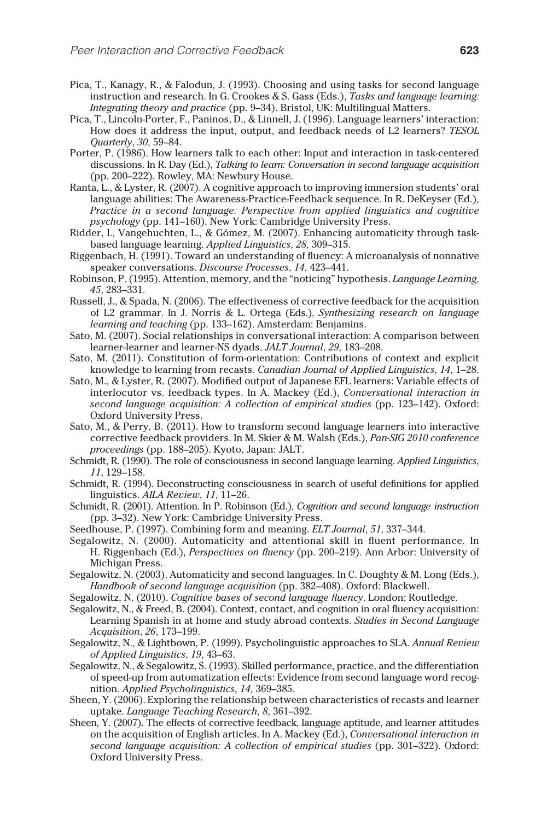- Pica, T., Kanagy, R., & Falodun, J. (1993). Choosing and using tasks for second language instruction and research . In G. Crookes& S. Gass(Eds.), *Tasks and language learning:*  Integrating theory and practice (pp. 9-34). Bristol, UK: Multilingual Matters.
- Pica, T., Lincoln-Porter, F., Paninos, D., & Linnell, J. (1996). Language learners' interaction: How does it address the input, output, and feedback needs of L2 learners? *TESOL Quarterly*, 30, 59-84.
- Porter, P. (1986). How learners talk to each other: Input and interaction in task-centered discussions . In R. Day(Ed.), *Talking to learn: Conversation in second language acquisition* (pp. 200–222). Rowley, MA: Newbury House.
- Ranta, L., & Lyster, R. (2007). A cognitive approach to improving immersion students' oral language abilities: The Awareness-Practice-Feedback sequence. In R. DeKeyser (Ed.), *Practice in a second language: Perspective from applied linguistics and cognitive*  psychology (pp. 141-160). New York: Cambridge University Press.
- Ridder, I., Vangehuchten, L., & Gómez, M. (2007). Enhancing automaticity through taskbased language learning. *Applied Linguistics*, 28, 309–315.
- Riggenbach, H. (1991). Toward an understanding of fluency: A microanalysis of nonnative speaker conversations. *Discourse Processes*, 14, 423-441.
- Robinson , P.( 1995 ). Attention, memory, and the "noticing" hypothesis . *Language Learning*, *45*, 283 – 331 .
- Russell, J., & Spada, N. (2006). The effectiveness of corrective feedback for the acquisition of L2 grammar . In J. Norris& L. Ortega(Eds.), *Synthesizing research on language learning and teaching* (pp. 133-162). Amsterdam: Benjamins.
- Sato, M. (2007). Social relationships in conversational interaction: A comparison between learner-learner and learner-NS dyads. *JALT Journal*, 29, 183-208.
- Sato, M. (2011). Constitution of form-orientation: Contributions of context and explicit knowledge to learning from recasts. *Canadian Journal of Applied Linguistics*, 14, 1-28.
- Sato, M., & Lyster, R. (2007). Modified output of Japanese EFL learners: Variable effects of interlocutor vs. feedback types . In A. Mackey(Ed.), *Conversational interaction in second language acquisition: A collection of empirical studies* (pp. 123–142). Oxford: Oxford University Press .
- Sato, M., & Perry, B. (2011). How to transform second language learners into interactive corrective feedback providers . In M. Skier& M. Walsh(Eds.), *Pan-SIG 2010 conference proceedings* (pp. 188–205). Kyoto, Japan: JALT.
- Schmidt, R. (1990). The role of consciousness in second language learning. *Applied Linguistics*, *11*, 129-158.
- Schmidt, R. (1994). Deconstructing consciousness in search of useful definitions for applied linguistics. *AILA Review*, 11, 11-26.
- Schmidt, R. (2001). Attention. In P. Robinson (Ed.), *Cognition and second language instruction* (pp. 3–32). New York: Cambridge University Press.
- Seedhouse, P. (1997). Combining form and meaning. *ELT Journal*, 51, 337-344.
- Segalowitz, N. (2000). Automaticity and attentional skill in fluent performance. In H. Riggenbach (Ed.), *Perspectives on fluency* (pp. 200-219). Ann Arbor: University of Michigan Press .
- Segalowitz, N. (2003). Automaticity and second languages. In C. Doughty & M. Long (Eds.), *Handbook of second language acquisition* (pp. 382–408). Oxford: Blackwell.
- Segalowitz, N. (2010). *Cognitive bases of second language fluency*. London: Routledge.
- Segalowitz, N., & Freed, B. (2004). Context, contact, and cognition in oral fluency acquisition: Learning Spanish in at home and study abroad contexts . *Studies in Second Language Acquisition*, *26*, 173 – 199 .
- Segalowitz , N. , & Lightbown , P.( 1999 ). Psycholinguistic approaches to SLA . *Annual Review of Applied Linguistics*, *19*, 43 – 63 .
- Segalowitz, N., & Segalowitz, S. (1993). Skilled performance, practice, and the differentiation of speed-up from automatization effects: Evidence from second language word recognition. *Applied Psycholinguistics*, 14, 369-385.
- Sheen, Y. (2006). Exploring the relationship between characteristics of recasts and learner uptake. *Language Teaching Research*, 8, 361-392.
- Sheen, Y. (2007). The effects of corrective feedback, language aptitude, and learner attitudes on the acquisition of English articles . In A. Mackey(Ed.), *Conversational interaction in second language acquisition: A collection of empirical studies* (pp. 301–322). Oxford: Oxford University Press .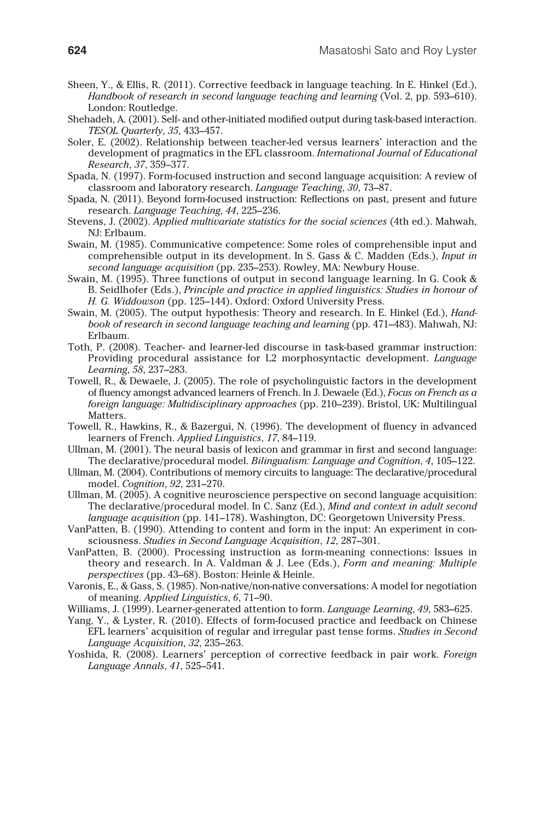- Sheen, Y., & Ellis, R. (2011). Corrective feedback in language teaching. In E. Hinkel (Ed.), *Handbook of research in second language teaching and learning* (Vol. 2, pp. 593–610). London: Routledge.
- Shehadeh, A. (2001). Self- and other-initiated modified output during task-based interaction. *TESOL Quarterly*, 35, 433-457.
- Soler, E. (2002). Relationship between teacher-led versus learners' interaction and the development of pragmatics in the EFL classroom . *International Journal of Educational Research*, *37*, 359 – 377 .
- Spada, N. (1997). Form-focused instruction and second language acquisition: A review of classroom and laboratory research. *Language Teaching*, 30, 73-87.
- Spada, N. (2011). Beyond form-focused instruction: Reflections on past, present and future research. *Language Teaching*, 44, 225-236.
- Stevens , J.( 2002 ). *Applied multivariate statistics for the social sciences* ( 4th ed. ). Mahwah, NJ: Erlbaum.
- Swain, M. (1985). Communicative competence: Some roles of comprehensible input and comprehensible output in its development. In S. Gass & C. Madden (Eds.), *Input in second language acquisition* (pp. 235–253). Rowley, MA: Newbury House.
- Swain, M. (1995). Three functions of output in second language learning. In G. Cook & B. Seidlhofer(Eds.), *Principle and practice in applied linguistics: Studies in honour of H. G. Widdowson* (pp. 125–144). Oxford: Oxford University Press.
- Swain, M. (2005). The output hypothesis: Theory and research. In E. Hinkel (Ed.), *Hand*book of research in second language teaching and learning (pp. 471-483). Mahwah, NJ: Erlbaum.
- Toth, P. (2008). Teacher- and learner-led discourse in task-based grammar instruction: Providing procedural assistance for L2 morphosyntactic development. *Language Learning*, 58, 237-283.
- Towell, R.,  $\&$  Dewaele, J. (2005). The role of psycholinguistic factors in the development of fluency amongst advanced learners of French. In J. Dewaele (Ed.), *Focus on French as a foreign language: Multidisciplinary approaches* (pp. 210–239). Bristol, UK: Multilingual Matters.
- Towell, R., Hawkins, R., & Bazergui, N. (1996). The development of fluency in advanced learners of French. *Applied Linguistics*, 17, 84–119.
- Ullman, M. (2001). The neural basis of lexicon and grammar in first and second language: The declarative/procedural model. *Bilingualism: Language and Cognition*, 4, 105-122.
- Ullman, M. (2004). Contributions of memory circuits to language: The declarative/procedural model. *Cognition*, 92, 231-270.
- Ullman, M. (2005). A cognitive neuroscience perspective on second language acquisition: The declarative/procedural model . In C. Sanz(Ed.), *Mind and context in adult second language acquisition* (pp. 141–178). Washington, DC: Georgetown University Press.
- VanPatten, B. (1990). Attending to content and form in the input: An experiment in consciousness. *Studies in Second Language Acquisition*, 12, 287-301.
- VanPatten, B. (2000). Processing instruction as form-meaning connections: Issues in theory and research . In A. Valdman& J. Lee(Eds.), *Form and meaning: Multiple perspectives* (pp. 43-68). Boston: Heinle & Heinle.
- Varonis , E. , & Gass , S.( 1985 ). Non-native/non-native conversations: A model for negotiation of meaning. *Applied Linguistics*, 6, 71–90.
- Williams, J. (1999). Learner-generated attention to form. *Language Learning*, 49, 583–625.
- Yang, Y., & Lyster, R. (2010). Effects of form-focused practice and feedback on Chinese EFL learners' acquisition of regular and irregular past tense forms . *Studies in Second Language Acquisition*, *32*, 235 – 263 .
- Yoshida, R. (2008). Learners' perception of corrective feedback in pair work. *Foreign Language Annals*, *41*, 525 – 541 .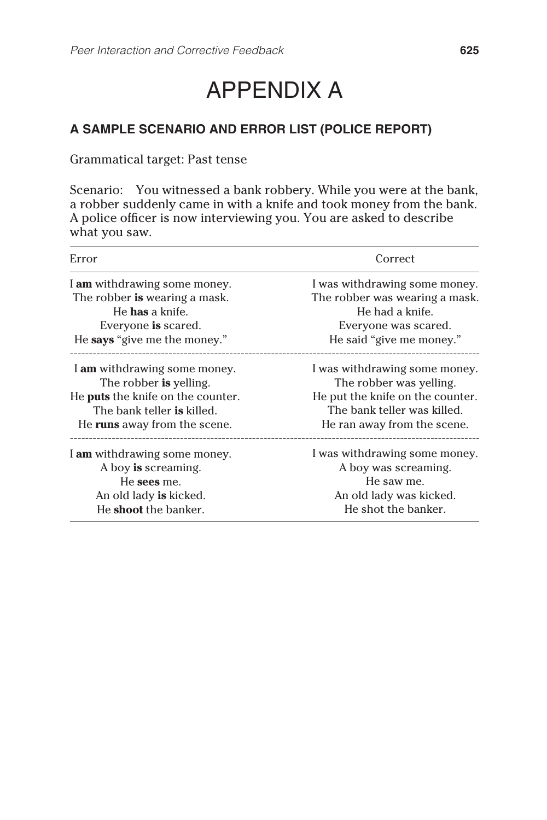# APPENDIX A

# **A SAMPLE SCENARIO AND ERROR LIST (POLICE REPORT)**

Grammatical target: Past tense

Scenario: You witnessed a bank robbery. While you were at the bank, a robber suddenly came in with a knife and took money from the bank. A police officer is now interviewing you. You are asked to describe what you saw.

| Error                                    | Correct                          |
|------------------------------------------|----------------------------------|
| I am withdrawing some money.             | I was withdrawing some money.    |
| The robber <b>is</b> wearing a mask.     | The robber was wearing a mask.   |
| He <b>has</b> a knife.                   | He had a knife.                  |
| Everyone <b>is</b> scared.               | Everyone was scared.             |
| He says "give me the money."             | He said "give me money."         |
| I am withdrawing some money.             | I was withdrawing some money.    |
| The robber <b>is</b> yelling.            | The robber was yelling.          |
| He <b>puts</b> the knife on the counter. | He put the knife on the counter. |
| The bank teller <b>is</b> killed.        | The bank teller was killed.      |
| He runs away from the scene.             | He ran away from the scene.      |
| I am withdrawing some money.             | I was withdrawing some money.    |
| A boy is screaming.                      | A boy was screaming.             |
| He sees me.                              | He saw me.                       |
| An old lady is kicked.                   | An old lady was kicked.          |
| He <b>shoot</b> the banker.              | He shot the banker.              |